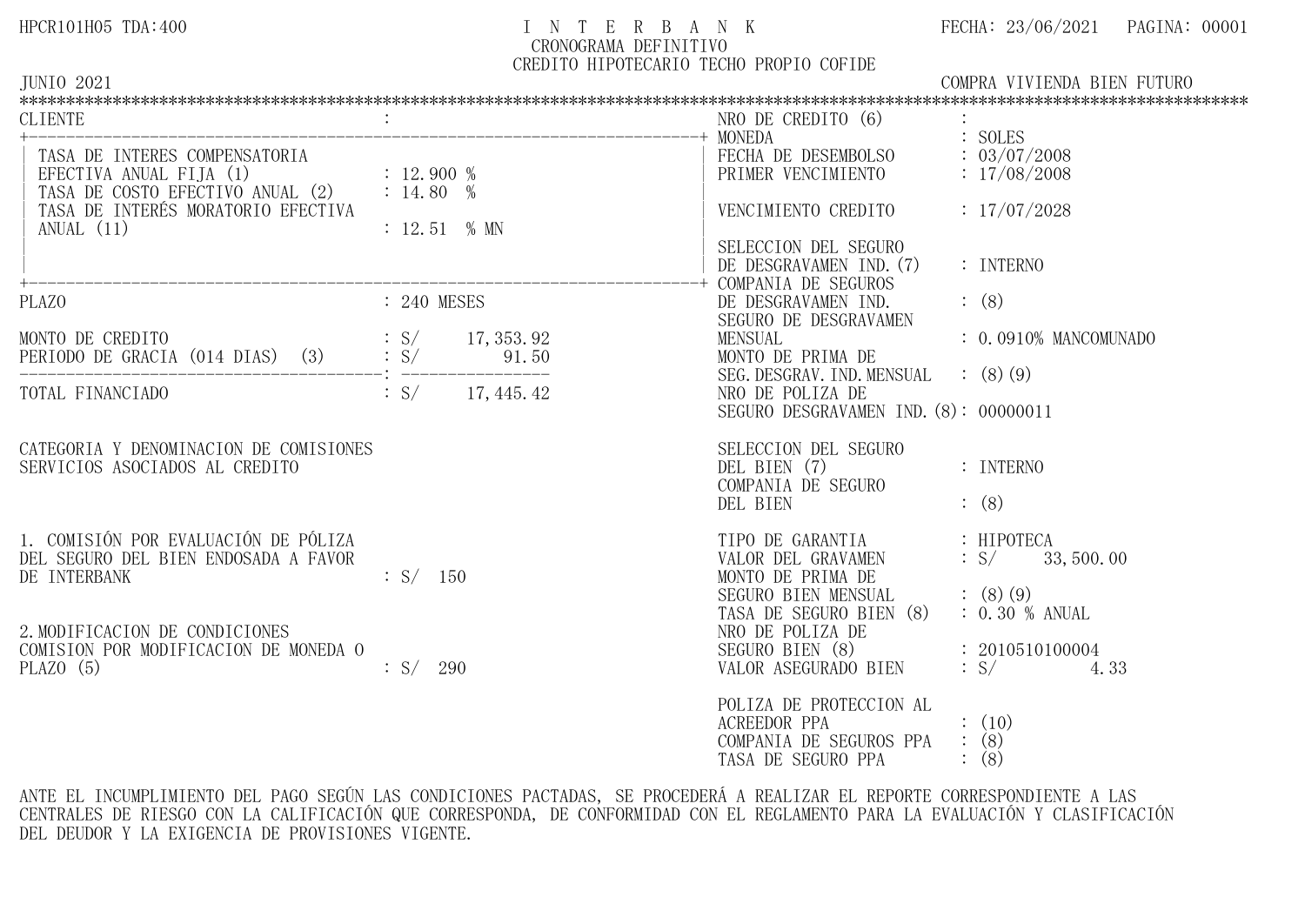# HPCR101H05 TDA:400 I N T E R B A N K FECHA: 23/06/2021 PAGINA: 00001 CRONOGRAMA DEFINITIVO

CREDITO HIPOTECARIO TECHO PROPIO COFIDE

TASA DE SEGURO PPA : (8)

| JUNIO 2021                       | COMPRA                      | VIVIENDA BIEN FUTURO |
|----------------------------------|-----------------------------|----------------------|
|                                  |                             |                      |
| <b>CLIENTE</b>                   | CREDITO<br>NRO<br>DE<br>(6, |                      |
|                                  | MONEDA                      | SOLES                |
| INTERES COMPENSATORIA<br>TASA DE | DESEMBOLSO<br>FECHA DE      | 03/07/2008           |

| TASA DE INTERES COMPENSATORIA<br>EFECTIVA ANUAL FIJA (1)<br>TASA DE COSTO EFECTIVO ANUAL (2) : 14.80 %<br>TASA DE INTERÉS MORATORIO EFECTIVA<br>ANUAL $(11)$                           | : 12.900%<br>$: 12.51 %$ MN                 | FECHA DE DESEMBOLSO<br>PRIMER VENCIMIENTO<br>VENCIMIENTO CREDITO<br>SELECCION DEL SEGURO<br>DE DESGRAVAMEN IND. (7)                                                                                 | : 03/07/2008<br>: 17/08/2008<br>: 17/07/2028<br>: INTERNO                                                   |
|----------------------------------------------------------------------------------------------------------------------------------------------------------------------------------------|---------------------------------------------|-----------------------------------------------------------------------------------------------------------------------------------------------------------------------------------------------------|-------------------------------------------------------------------------------------------------------------|
| PLAZO                                                                                                                                                                                  | : 240 MESES                                 | COMPANIA DE SEGUROS<br>DE DESGRAVAMEN IND.                                                                                                                                                          | (8)                                                                                                         |
|                                                                                                                                                                                        |                                             | SEGURO DE DESGRAVAMEN<br><b>MENSUAL</b>                                                                                                                                                             | $: 0.0910\%$ MANCOMUNADO                                                                                    |
| TOTAL FINANCIADO $\qquad \qquad : S/ \qquad 17,445.42$                                                                                                                                 |                                             | MONTO DE PRIMA DE<br>SEG. DESGRAV. IND. MENSUAL<br>NRO DE POLIZA DE                                                                                                                                 | (8)(9)                                                                                                      |
|                                                                                                                                                                                        |                                             | SEGURO DESGRAVAMEN IND. (8): 00000011                                                                                                                                                               |                                                                                                             |
| CATEGORIA Y DENOMINACION DE COMISIONES<br>SERVICIOS ASOCIADOS AL CREDITO                                                                                                               |                                             | SELECCION DEL SEGURO<br>DEL BIEN (7)<br>COMPANIA DE SEGURO                                                                                                                                          | : INTERNO                                                                                                   |
| 1. COMISIÓN POR EVALUACIÓN DE PÓLIZA<br>DEL SEGURO DEL BIEN ENDOSADA A FAVOR<br>DE INTERBANK<br>2. MODIFICACION DE CONDICIONES<br>COMISION POR MODIFICACION DE MONEDA O<br>PLAZO $(5)$ | $\therefore$ S/ 150<br>$\therefore S / 290$ | DEL BIEN<br>TIPO DE GARANTIA : HIPOTECA<br>VALOR DEL GRAVAMEN<br>MONTO DE PRIMA DE<br>SEGURO BIEN MENSUAL<br>TASA DE SEGURO BIEN (8)<br>NRO DE POLIZA DE<br>SEGURO BIEN (8)<br>VALOR ASEGURADO BIEN | (8)<br>$\therefore$ S/ 33, 500.00<br>(8)(9)<br>$: 0.30 \%$ ANUAL<br>: 2010510100004<br>$\therefore$ S/ 4.33 |
|                                                                                                                                                                                        |                                             | POLIZA DE PROTECCION AL<br>ACREEDOR PPA<br>COMPANIA DE SEGUROS PPA                                                                                                                                  | $\colon$ (10)<br>$\colon$ (8)                                                                               |

ANTE EL INCUMPLIMIENTO DEL PAGO SEGÚN LAS CONDICIONES PACTADAS, SE PROCEDERÁ A REALIZAR EL REPORTE CORRESPONDIENTE A LAS CENTRALES DE RIESGO CON LA CALIFICACIÓN QUE CORRESPONDA, DE CONFORMIDAD CON EL REGLAMENTO PARA LA EVALUACIÓN Y CLASIFICACIÓN DEL DEUDOR Y LA EXIGENCIA DE PROVISIONES VIGENTE.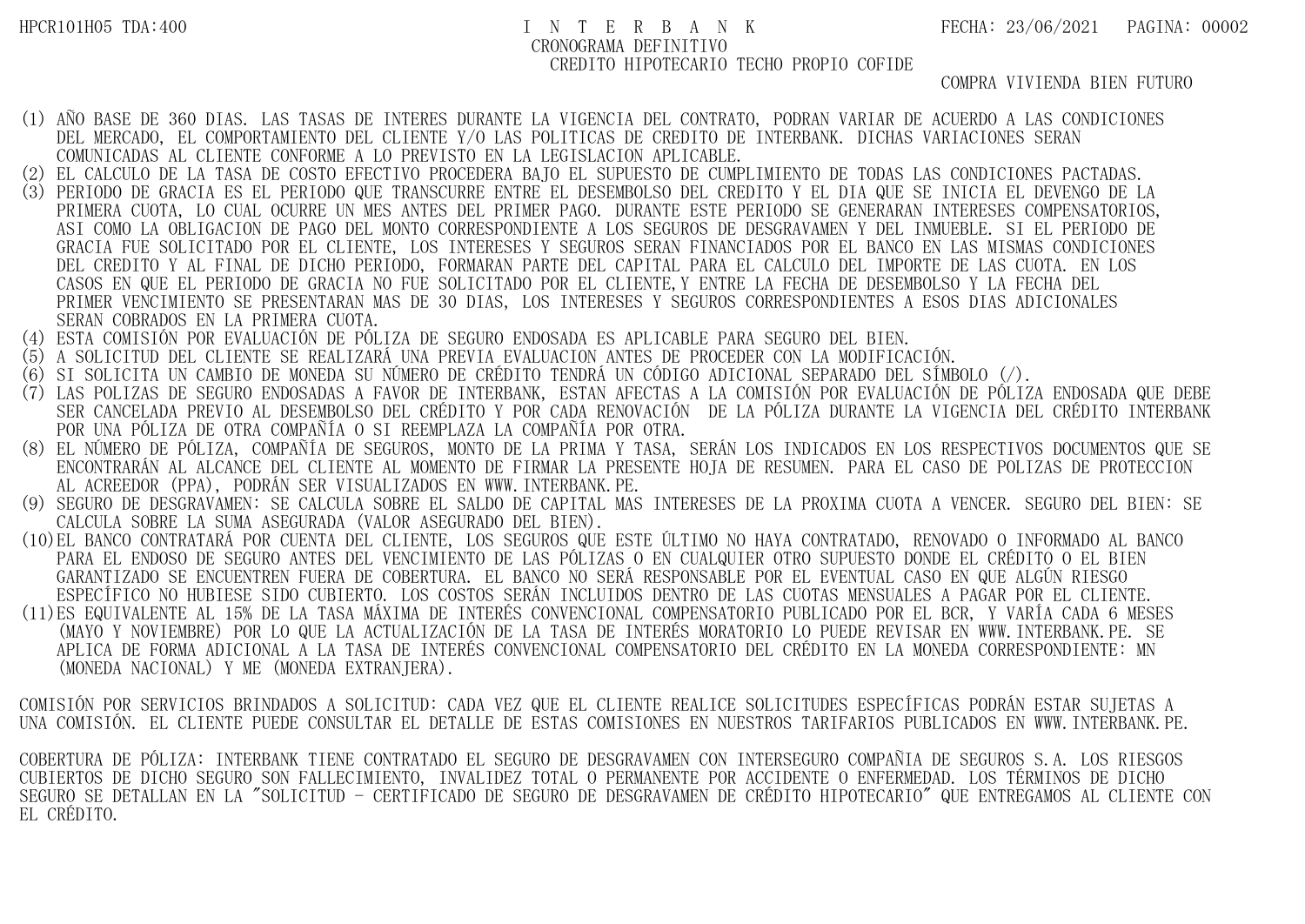COMPRA VIVIENDA BIEN FUTURO

- (1) AÑO BASE DE 360 DIAS. LAS TASAS DE INTERES DURANTE LA VIGENCIA DEL CONTRATO, PODRAN VARIAR DE ACUERDO A LAS CONDICIONES DEL MERCADO, EL COMPORTAMIENTO DEL CLIENTE Y/O LAS POLITICAS DE CREDITO DE INTERBANK. DICHAS VARIACIONES SERAN COMUNICADAS AL CLIENTE CONFORME A LO PREVISTO EN LA LEGISLACION APLICABLE.
- (2) EL CALCULO DE LA TASA DE COSTO EFECTIVO PROCEDERA BAJO EL SUPUESTO DE CUMPLIMIENTO DE TODAS LAS CONDICIONES PACTADAS.
- (3) PERIODO DE GRACIA ES EL PERIODO QUE TRANSCURRE ENTRE EL DESEMBOLSO DEL CREDITO Y EL DIA QUE SE INICIA EL DEVENGO DE LA PRIMERA CUOTA, LO CUAL OCURRE UN MES ANTES DEL PRIMER PAGO. DURANTE ESTE PERIODO SE GENERARAN INTERESES COMPENSATORIOS, ASI COMO LA OBLIGACION DE PAGO DEL MONTO CORRESPONDIENTE A LOS SEGUROS DE DESGRAVAMEN Y DEL INMUEBLE. SI EL PERIODO DE GRACIA FUE SOLICITADO POR EL CLIENTE, LOS INTERESES Y SEGUROS SERAN FINANCIADOS POR EL BANCO EN LAS MISMAS CONDICIONES DEL CREDITO Y AL FINAL DE DICHO PERIODO, FORMARAN PARTE DEL CAPITAL PARA EL CALCULO DEL IMPORTE DE LAS CUOTA. EN LOS CASOS EN QUE EL PERIODO DE GRACIA NO FUE SOLICITADO POR EL CLIENTE,Y ENTRE LA FECHA DE DESEMBOLSO Y LA FECHA DEL PRIMER VENCIMIENTO SE PRESENTARAN MAS DE 30 DIAS, LOS INTERESES Y SEGUROS CORRESPONDIENTES A ESOS DIAS ADICIONALES SERAN COBRADOS EN LA PRIMERA CUOTA.
- (4) ESTA COMISIÓN POR EVALUACIÓN DE PÓLIZA DE SEGURO ENDOSADA ES APLICABLE PARA SEGURO DEL BIEN.
- (5) A SOLICITUD DEL CLIENTE SE REALIZARÁ UNA PREVIA EVALUACION ANTES DE PROCEDER CON LA MODIFICACIÓN.
- (6) SI SOLICITA UN CAMBIO DE MONEDA SU NÚMERO DE CRÉDITO TENDRÁ UN CÓDIGO ADICIONAL SEPARADO DEL SÍMBOLO (/).
- (7) LAS POLIZAS DE SEGURO ENDOSADAS A FAVOR DE INTERBANK, ESTAN AFECTAS A LA COMISIÓN POR EVALUACIÓN DE PÓLIZA ENDOSADA QUE DEBE SER CANCELADA PREVIO AL DESEMBOLSO DEL CRÉDITO Y POR CADA RENOVACIÓN DE LA PÓLIZA DURANTE LA VIGENCIA DEL CRÉDITO INTERBANK POR UNA PÓLIZA DE OTRA COMPAÑÍA O SI REEMPLAZA LA COMPAÑÍA POR OTRA.
- (8) EL NÚMERO DE PÓLIZA, COMPAÑÍA DE SEGUROS, MONTO DE LA PRIMA Y TASA, SERÁN LOS INDICADOS EN LOS RESPECTIVOS DOCUMENTOS QUE SE ENCONTRARÁN AL ALCANCE DEL CLIENTE AL MOMENTO DE FIRMAR LA PRESENTE HOJA DE RESUMEN. PARA EL CASO DE POLIZAS DE PROTECCION AL ACREEDOR (PPA), PODRÁN SER VISUALIZADOS EN WWW.INTERBANK.PE.
- (9) SEGURO DE DESGRAVAMEN: SE CALCULA SOBRE EL SALDO DE CAPITAL MAS INTERESES DE LA PROXIMA CUOTA A VENCER. SEGURO DEL BIEN: SE CALCULA SOBRE LA SUMA ASEGURADA (VALOR ASEGURADO DEL BIEN).
- (10)EL BANCO CONTRATARÁ POR CUENTA DEL CLIENTE, LOS SEGUROS QUE ESTE ÚLTIMO NO HAYA CONTRATADO, RENOVADO O INFORMADO AL BANCO PARA EL ENDOSO DE SEGURO ANTES DEL VENCIMIENTO DE LAS PÓLIZAS O EN CUALQUIER OTRO SUPUESTO DONDE EL CRÉDITO O EL BIEN GARANTIZADO SE ENCUENTREN FUERA DE COBERTURA. EL BANCO NO SERÁ RESPONSABLE POR EL EVENTUAL CASO EN QUE ALGÚN RIESGO ESPECÍFICO NO HUBIESE SIDO CUBIERTO. LOS COSTOS SERÁN INCLUIDOS DENTRO DE LAS CUOTAS MENSUALES A PAGAR POR EL CLIENTE.
- (11)ES EQUIVALENTE AL 15% DE LA TASA MÁXIMA DE INTERÉS CONVENCIONAL COMPENSATORIO PUBLICADO POR EL BCR, Y VARÍA CADA 6 MESES (MAYO Y NOVIEMBRE) POR LO QUE LA ACTUALIZACIÓN DE LA TASA DE INTERÉS MORATORIO LO PUEDE REVISAR EN WWW.INTERBANK.PE. SE APLICA DE FORMA ADICIONAL A LA TASA DE INTERÉS CONVENCIONAL COMPENSATORIO DEL CRÉDITO EN LA MONEDA CORRESPONDIENTE: MN (MONEDA NACIONAL) Y ME (MONEDA EXTRANJERA).

COMISIÓN POR SERVICIOS BRINDADOS A SOLICITUD: CADA VEZ QUE EL CLIENTE REALICE SOLICITUDES ESPECÍFICAS PODRÁN ESTAR SUJETAS A UNA COMISIÓN. EL CLIENTE PUEDE CONSULTAR EL DETALLE DE ESTAS COMISIONES EN NUESTROS TARIFARIOS PUBLICADOS EN WWW.INTERBANK.PE.

COBERTURA DE PÓLIZA: INTERBANK TIENE CONTRATADO EL SEGURO DE DESGRAVAMEN CON INTERSEGURO COMPAÑIA DE SEGUROS S.A. LOS RIESGOS CUBIERTOS DE DICHO SEGURO SON FALLECIMIENTO, INVALIDEZ TOTAL O PERMANENTE POR ACCIDENTE O ENFERMEDAD. LOS TÉRMINOS DE DICHO SEGURO SE DETALLAN EN LA "SOLICITUD - CERTIFICADO DE SEGURO DE DESGRAVAMEN DE CRÉDITO HIPOTECARIO" QUE ENTREGAMOS AL CLIENTE CON EL CRÉDITO.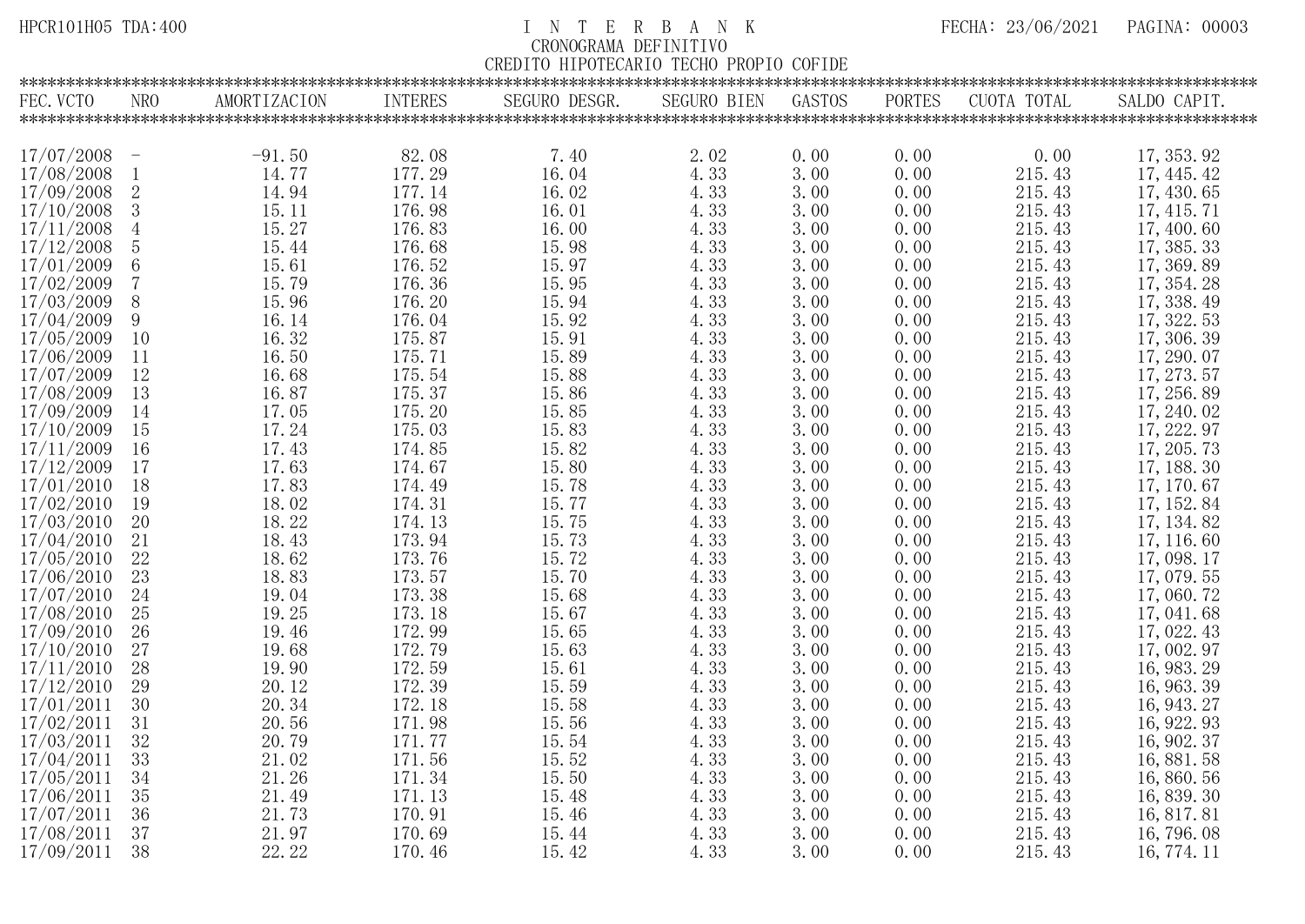## HPCR101H05 TDA:400 I N T E R B A N K FECHA: 23/06/2021 PAGINA: 00003 CRONOGRAMA DEFINITIVO

| HIPOTECARIO<br>PROPIO<br><b>TECHO</b><br>COFIDE |
|-------------------------------------------------|
|-------------------------------------------------|

| NRO<br>AMORTIZACION<br><b>INTERES</b><br>SEGURO DESGR.<br><b>SEGURO BIEN</b><br>GASTOS<br>PORTES<br>CUOTA TOTAL<br>SALDO CAPIT.<br>82.08<br>17/07/2008<br>$-91.50$<br>7.40<br>2.02<br>0.00<br>0.00<br>17, 353, 92<br>0.00<br>$\mathcal{L}=\mathcal{L}$<br>14.77<br>177.29<br>4.33<br>17/08/2008<br>16.04<br>3.00<br>0.00<br>215.43<br>17, 445, 42<br>$\mathbf{1}$<br>$\overline{2}$<br>215.43<br>17/09/2008<br>14.94<br>177.14<br>4.33<br>3.00<br>0.00<br>16.02<br>17, 430, 65<br>$\begin{array}{c} 15.11 \\ 15.27 \end{array}$<br>215.43<br>17/10/2008<br>3<br>3.00<br>176.98<br>16.01<br>4.33<br>0.00<br>17, 415. 71<br>17/11/2008<br>176.83<br>215.43<br>$\overline{4}$<br>16.00<br>4.33<br>3.00<br>0.00<br>17, 400.60<br>17/12/2008<br>$\overline{5}$<br>15.44<br>215.43<br>176.68<br>15.98<br>0.00<br>17, 385. 33<br>4.33<br>3.00<br>$\,6\,$<br>15.61<br>176.52<br>15.97<br>0.00<br>215.43<br>4.33<br>3.00<br>17, 369.89<br>$\overline{7}$<br>15.79<br>15.95<br>215.43<br>176.36<br>4.33<br>3.00<br>0.00<br>17, 354. 28<br>15.96<br>17, 338.49<br>8<br>176.20<br>4.33<br>0.00<br>215.43<br>15.94<br>3.00<br>9<br>16.14<br>176.04<br>215.43<br>17, 322. 53<br>15.92<br>4.33<br>3.00<br>0.00<br>16.32<br>10<br>175.87<br>15.91<br>4.33<br>3.00<br>0.00<br>215.43<br>17, 306. 39<br>16.50<br>11<br>175.71<br>15.89<br>4.33<br>3.00<br>0.00<br>215.43<br>17, 290.07<br>12<br>16.68<br>175.54<br>215.43<br>17, 273. 57<br>15.88<br>4.33<br>3.00<br>0.00<br>13<br>16.87<br>175.37<br>215.43<br>15.86<br>4.33<br>3.00<br>0.00<br>17, 256.89<br>17.05<br>175.20<br>15.85<br>0.00<br>215.43<br>14<br>4.33<br>3.00<br>17, 240. 02<br>17.24<br>215.43<br>17, 222.97<br>15<br>175.03<br>15.83<br>4.33<br>3.00<br>0.00<br>17.43<br>16<br>174.85<br>4.33<br>215.43<br>17, 205. 73<br>15.82<br>3.00<br>0.00<br>17<br>17.63<br>215.43<br>174.67<br>15.80<br>4.33<br>3.00<br>0.00<br>17, 188. 30<br>17.83<br>215.43<br>18<br>4.33<br>3.00<br>0.00<br>174.49<br>15.78<br>17, 170.67<br>18.02<br>17/02/2010<br>19<br>174.31<br>15.77<br>3.00<br>215.43<br>4.33<br>0.00<br>17, 152.84<br>18.22<br>215.43<br>20<br>174.13<br>15.75<br>4.33<br>0.00<br>17, 134.82<br>3.00<br>21<br>18.43<br>173.94<br>15.73<br>3.00<br>0.00<br>215.43<br>17, 116, 60<br>4.33<br>17/05/2010<br>22<br>18.62<br>215.43<br>173.76<br>15.72<br>4.33<br>3.00<br>0.00<br>17,098.17<br>18.83<br>23<br>173.57<br>15.70<br>4.33<br>3.00<br>0.00<br>215.43<br>17,079.55<br>17/07/2010<br>173.38<br>215.43<br>24<br>19.04<br>15.68<br>4.33<br>3.00<br>0.00<br>17,060.72<br>25<br>19.25<br>215.43<br>173.18<br>15.67<br>4.33<br>3.00<br>0.00<br>17,041.68<br>17/09/2010<br>26<br>19.46<br>215.43<br>172.99<br>15.65<br>4.33<br>3.00<br>0.00<br>17, 022. 43<br>27<br>19.68<br>172.79<br>15.63<br>215.43<br>17,002.97<br>4.33<br>3.00<br>0.00<br>17/11/2010<br>215.43<br>28<br>19.90<br>172.59<br>16, 983. 29<br>15.61<br>4.33<br>3.00<br>0.00<br>17/12/2010<br>29<br>172.39<br>20.12<br>15.59<br>4.33<br>0.00<br>215.43<br>3.00<br>16, 963. 39<br>17/01/2011<br>30<br>20.34<br>172.18<br>4.33<br>3.00<br>0.00<br>215.43<br>15.58<br>16, 943. 27<br>17/02/2011<br>31<br>20.56<br>215.43<br>16, 922. 93<br>171.98<br>15.56<br>4.33<br>3.00<br>0.00<br>17/03/2011<br>32<br>20.79<br>215.43<br>171.77<br>4.33<br>16, 902. 37<br>15.54<br>3.00<br>0.00<br>33<br>17/04/2011<br>21.02<br>215.43<br>171.56<br>15.52<br>4.33<br>3.00<br>0.00<br>16, 881. 58<br>21.26<br>17/05/2011<br>34<br>215.43<br>171.34<br>15.50<br>4.33<br>3.00<br>0.00<br>16,860.56<br>17/06/2011<br>35<br>215.43<br>21.49<br>171.13<br>15.48<br>0.00<br>16, 839. 30<br>4.33<br>3.00<br>17/07/2011<br>36<br>21.73<br>215.43<br>170.91<br>15.46<br>4.33<br>3.00<br>0.00<br>16, 817. 81<br>37<br>21.97<br>17/08/2011<br>170.69<br>4.33<br>0.00<br>215.43<br>15.44<br>3.00<br>16, 796. 08<br>22.22<br>38<br>4.33<br>0.00<br>170.46<br>15.42<br>3.00<br>215.43<br>16, 774. 11 |            |  |  |  |  |  |
|------------------------------------------------------------------------------------------------------------------------------------------------------------------------------------------------------------------------------------------------------------------------------------------------------------------------------------------------------------------------------------------------------------------------------------------------------------------------------------------------------------------------------------------------------------------------------------------------------------------------------------------------------------------------------------------------------------------------------------------------------------------------------------------------------------------------------------------------------------------------------------------------------------------------------------------------------------------------------------------------------------------------------------------------------------------------------------------------------------------------------------------------------------------------------------------------------------------------------------------------------------------------------------------------------------------------------------------------------------------------------------------------------------------------------------------------------------------------------------------------------------------------------------------------------------------------------------------------------------------------------------------------------------------------------------------------------------------------------------------------------------------------------------------------------------------------------------------------------------------------------------------------------------------------------------------------------------------------------------------------------------------------------------------------------------------------------------------------------------------------------------------------------------------------------------------------------------------------------------------------------------------------------------------------------------------------------------------------------------------------------------------------------------------------------------------------------------------------------------------------------------------------------------------------------------------------------------------------------------------------------------------------------------------------------------------------------------------------------------------------------------------------------------------------------------------------------------------------------------------------------------------------------------------------------------------------------------------------------------------------------------------------------------------------------------------------------------------------------------------------------------------------------------------------------------------------------------------------------------------------------------------------------------------------------------------------------------------------------------------------------------------------------------------------------------------------------------------------------------------------------------------------------------------------------------------------------------------------------------------------------------------------------------------------------------------------------------------------------------------------------------------------------------------------------------------------------------------------------------------------------------------|------------|--|--|--|--|--|
|                                                                                                                                                                                                                                                                                                                                                                                                                                                                                                                                                                                                                                                                                                                                                                                                                                                                                                                                                                                                                                                                                                                                                                                                                                                                                                                                                                                                                                                                                                                                                                                                                                                                                                                                                                                                                                                                                                                                                                                                                                                                                                                                                                                                                                                                                                                                                                                                                                                                                                                                                                                                                                                                                                                                                                                                                                                                                                                                                                                                                                                                                                                                                                                                                                                                                                                                                                                                                                                                                                                                                                                                                                                                                                                                                                                                                                                                                          | FEC. VCTO  |  |  |  |  |  |
|                                                                                                                                                                                                                                                                                                                                                                                                                                                                                                                                                                                                                                                                                                                                                                                                                                                                                                                                                                                                                                                                                                                                                                                                                                                                                                                                                                                                                                                                                                                                                                                                                                                                                                                                                                                                                                                                                                                                                                                                                                                                                                                                                                                                                                                                                                                                                                                                                                                                                                                                                                                                                                                                                                                                                                                                                                                                                                                                                                                                                                                                                                                                                                                                                                                                                                                                                                                                                                                                                                                                                                                                                                                                                                                                                                                                                                                                                          |            |  |  |  |  |  |
|                                                                                                                                                                                                                                                                                                                                                                                                                                                                                                                                                                                                                                                                                                                                                                                                                                                                                                                                                                                                                                                                                                                                                                                                                                                                                                                                                                                                                                                                                                                                                                                                                                                                                                                                                                                                                                                                                                                                                                                                                                                                                                                                                                                                                                                                                                                                                                                                                                                                                                                                                                                                                                                                                                                                                                                                                                                                                                                                                                                                                                                                                                                                                                                                                                                                                                                                                                                                                                                                                                                                                                                                                                                                                                                                                                                                                                                                                          |            |  |  |  |  |  |
|                                                                                                                                                                                                                                                                                                                                                                                                                                                                                                                                                                                                                                                                                                                                                                                                                                                                                                                                                                                                                                                                                                                                                                                                                                                                                                                                                                                                                                                                                                                                                                                                                                                                                                                                                                                                                                                                                                                                                                                                                                                                                                                                                                                                                                                                                                                                                                                                                                                                                                                                                                                                                                                                                                                                                                                                                                                                                                                                                                                                                                                                                                                                                                                                                                                                                                                                                                                                                                                                                                                                                                                                                                                                                                                                                                                                                                                                                          |            |  |  |  |  |  |
|                                                                                                                                                                                                                                                                                                                                                                                                                                                                                                                                                                                                                                                                                                                                                                                                                                                                                                                                                                                                                                                                                                                                                                                                                                                                                                                                                                                                                                                                                                                                                                                                                                                                                                                                                                                                                                                                                                                                                                                                                                                                                                                                                                                                                                                                                                                                                                                                                                                                                                                                                                                                                                                                                                                                                                                                                                                                                                                                                                                                                                                                                                                                                                                                                                                                                                                                                                                                                                                                                                                                                                                                                                                                                                                                                                                                                                                                                          |            |  |  |  |  |  |
|                                                                                                                                                                                                                                                                                                                                                                                                                                                                                                                                                                                                                                                                                                                                                                                                                                                                                                                                                                                                                                                                                                                                                                                                                                                                                                                                                                                                                                                                                                                                                                                                                                                                                                                                                                                                                                                                                                                                                                                                                                                                                                                                                                                                                                                                                                                                                                                                                                                                                                                                                                                                                                                                                                                                                                                                                                                                                                                                                                                                                                                                                                                                                                                                                                                                                                                                                                                                                                                                                                                                                                                                                                                                                                                                                                                                                                                                                          |            |  |  |  |  |  |
|                                                                                                                                                                                                                                                                                                                                                                                                                                                                                                                                                                                                                                                                                                                                                                                                                                                                                                                                                                                                                                                                                                                                                                                                                                                                                                                                                                                                                                                                                                                                                                                                                                                                                                                                                                                                                                                                                                                                                                                                                                                                                                                                                                                                                                                                                                                                                                                                                                                                                                                                                                                                                                                                                                                                                                                                                                                                                                                                                                                                                                                                                                                                                                                                                                                                                                                                                                                                                                                                                                                                                                                                                                                                                                                                                                                                                                                                                          |            |  |  |  |  |  |
|                                                                                                                                                                                                                                                                                                                                                                                                                                                                                                                                                                                                                                                                                                                                                                                                                                                                                                                                                                                                                                                                                                                                                                                                                                                                                                                                                                                                                                                                                                                                                                                                                                                                                                                                                                                                                                                                                                                                                                                                                                                                                                                                                                                                                                                                                                                                                                                                                                                                                                                                                                                                                                                                                                                                                                                                                                                                                                                                                                                                                                                                                                                                                                                                                                                                                                                                                                                                                                                                                                                                                                                                                                                                                                                                                                                                                                                                                          |            |  |  |  |  |  |
|                                                                                                                                                                                                                                                                                                                                                                                                                                                                                                                                                                                                                                                                                                                                                                                                                                                                                                                                                                                                                                                                                                                                                                                                                                                                                                                                                                                                                                                                                                                                                                                                                                                                                                                                                                                                                                                                                                                                                                                                                                                                                                                                                                                                                                                                                                                                                                                                                                                                                                                                                                                                                                                                                                                                                                                                                                                                                                                                                                                                                                                                                                                                                                                                                                                                                                                                                                                                                                                                                                                                                                                                                                                                                                                                                                                                                                                                                          |            |  |  |  |  |  |
|                                                                                                                                                                                                                                                                                                                                                                                                                                                                                                                                                                                                                                                                                                                                                                                                                                                                                                                                                                                                                                                                                                                                                                                                                                                                                                                                                                                                                                                                                                                                                                                                                                                                                                                                                                                                                                                                                                                                                                                                                                                                                                                                                                                                                                                                                                                                                                                                                                                                                                                                                                                                                                                                                                                                                                                                                                                                                                                                                                                                                                                                                                                                                                                                                                                                                                                                                                                                                                                                                                                                                                                                                                                                                                                                                                                                                                                                                          | 17/01/2009 |  |  |  |  |  |
|                                                                                                                                                                                                                                                                                                                                                                                                                                                                                                                                                                                                                                                                                                                                                                                                                                                                                                                                                                                                                                                                                                                                                                                                                                                                                                                                                                                                                                                                                                                                                                                                                                                                                                                                                                                                                                                                                                                                                                                                                                                                                                                                                                                                                                                                                                                                                                                                                                                                                                                                                                                                                                                                                                                                                                                                                                                                                                                                                                                                                                                                                                                                                                                                                                                                                                                                                                                                                                                                                                                                                                                                                                                                                                                                                                                                                                                                                          | 17/02/2009 |  |  |  |  |  |
|                                                                                                                                                                                                                                                                                                                                                                                                                                                                                                                                                                                                                                                                                                                                                                                                                                                                                                                                                                                                                                                                                                                                                                                                                                                                                                                                                                                                                                                                                                                                                                                                                                                                                                                                                                                                                                                                                                                                                                                                                                                                                                                                                                                                                                                                                                                                                                                                                                                                                                                                                                                                                                                                                                                                                                                                                                                                                                                                                                                                                                                                                                                                                                                                                                                                                                                                                                                                                                                                                                                                                                                                                                                                                                                                                                                                                                                                                          | 17/03/2009 |  |  |  |  |  |
|                                                                                                                                                                                                                                                                                                                                                                                                                                                                                                                                                                                                                                                                                                                                                                                                                                                                                                                                                                                                                                                                                                                                                                                                                                                                                                                                                                                                                                                                                                                                                                                                                                                                                                                                                                                                                                                                                                                                                                                                                                                                                                                                                                                                                                                                                                                                                                                                                                                                                                                                                                                                                                                                                                                                                                                                                                                                                                                                                                                                                                                                                                                                                                                                                                                                                                                                                                                                                                                                                                                                                                                                                                                                                                                                                                                                                                                                                          | 17/04/2009 |  |  |  |  |  |
|                                                                                                                                                                                                                                                                                                                                                                                                                                                                                                                                                                                                                                                                                                                                                                                                                                                                                                                                                                                                                                                                                                                                                                                                                                                                                                                                                                                                                                                                                                                                                                                                                                                                                                                                                                                                                                                                                                                                                                                                                                                                                                                                                                                                                                                                                                                                                                                                                                                                                                                                                                                                                                                                                                                                                                                                                                                                                                                                                                                                                                                                                                                                                                                                                                                                                                                                                                                                                                                                                                                                                                                                                                                                                                                                                                                                                                                                                          | 17/05/2009 |  |  |  |  |  |
|                                                                                                                                                                                                                                                                                                                                                                                                                                                                                                                                                                                                                                                                                                                                                                                                                                                                                                                                                                                                                                                                                                                                                                                                                                                                                                                                                                                                                                                                                                                                                                                                                                                                                                                                                                                                                                                                                                                                                                                                                                                                                                                                                                                                                                                                                                                                                                                                                                                                                                                                                                                                                                                                                                                                                                                                                                                                                                                                                                                                                                                                                                                                                                                                                                                                                                                                                                                                                                                                                                                                                                                                                                                                                                                                                                                                                                                                                          | 17/06/2009 |  |  |  |  |  |
|                                                                                                                                                                                                                                                                                                                                                                                                                                                                                                                                                                                                                                                                                                                                                                                                                                                                                                                                                                                                                                                                                                                                                                                                                                                                                                                                                                                                                                                                                                                                                                                                                                                                                                                                                                                                                                                                                                                                                                                                                                                                                                                                                                                                                                                                                                                                                                                                                                                                                                                                                                                                                                                                                                                                                                                                                                                                                                                                                                                                                                                                                                                                                                                                                                                                                                                                                                                                                                                                                                                                                                                                                                                                                                                                                                                                                                                                                          | 17/07/2009 |  |  |  |  |  |
|                                                                                                                                                                                                                                                                                                                                                                                                                                                                                                                                                                                                                                                                                                                                                                                                                                                                                                                                                                                                                                                                                                                                                                                                                                                                                                                                                                                                                                                                                                                                                                                                                                                                                                                                                                                                                                                                                                                                                                                                                                                                                                                                                                                                                                                                                                                                                                                                                                                                                                                                                                                                                                                                                                                                                                                                                                                                                                                                                                                                                                                                                                                                                                                                                                                                                                                                                                                                                                                                                                                                                                                                                                                                                                                                                                                                                                                                                          | 17/08/2009 |  |  |  |  |  |
|                                                                                                                                                                                                                                                                                                                                                                                                                                                                                                                                                                                                                                                                                                                                                                                                                                                                                                                                                                                                                                                                                                                                                                                                                                                                                                                                                                                                                                                                                                                                                                                                                                                                                                                                                                                                                                                                                                                                                                                                                                                                                                                                                                                                                                                                                                                                                                                                                                                                                                                                                                                                                                                                                                                                                                                                                                                                                                                                                                                                                                                                                                                                                                                                                                                                                                                                                                                                                                                                                                                                                                                                                                                                                                                                                                                                                                                                                          | 17/09/2009 |  |  |  |  |  |
|                                                                                                                                                                                                                                                                                                                                                                                                                                                                                                                                                                                                                                                                                                                                                                                                                                                                                                                                                                                                                                                                                                                                                                                                                                                                                                                                                                                                                                                                                                                                                                                                                                                                                                                                                                                                                                                                                                                                                                                                                                                                                                                                                                                                                                                                                                                                                                                                                                                                                                                                                                                                                                                                                                                                                                                                                                                                                                                                                                                                                                                                                                                                                                                                                                                                                                                                                                                                                                                                                                                                                                                                                                                                                                                                                                                                                                                                                          | 17/10/2009 |  |  |  |  |  |
|                                                                                                                                                                                                                                                                                                                                                                                                                                                                                                                                                                                                                                                                                                                                                                                                                                                                                                                                                                                                                                                                                                                                                                                                                                                                                                                                                                                                                                                                                                                                                                                                                                                                                                                                                                                                                                                                                                                                                                                                                                                                                                                                                                                                                                                                                                                                                                                                                                                                                                                                                                                                                                                                                                                                                                                                                                                                                                                                                                                                                                                                                                                                                                                                                                                                                                                                                                                                                                                                                                                                                                                                                                                                                                                                                                                                                                                                                          | 17/11/2009 |  |  |  |  |  |
|                                                                                                                                                                                                                                                                                                                                                                                                                                                                                                                                                                                                                                                                                                                                                                                                                                                                                                                                                                                                                                                                                                                                                                                                                                                                                                                                                                                                                                                                                                                                                                                                                                                                                                                                                                                                                                                                                                                                                                                                                                                                                                                                                                                                                                                                                                                                                                                                                                                                                                                                                                                                                                                                                                                                                                                                                                                                                                                                                                                                                                                                                                                                                                                                                                                                                                                                                                                                                                                                                                                                                                                                                                                                                                                                                                                                                                                                                          | 17/12/2009 |  |  |  |  |  |
|                                                                                                                                                                                                                                                                                                                                                                                                                                                                                                                                                                                                                                                                                                                                                                                                                                                                                                                                                                                                                                                                                                                                                                                                                                                                                                                                                                                                                                                                                                                                                                                                                                                                                                                                                                                                                                                                                                                                                                                                                                                                                                                                                                                                                                                                                                                                                                                                                                                                                                                                                                                                                                                                                                                                                                                                                                                                                                                                                                                                                                                                                                                                                                                                                                                                                                                                                                                                                                                                                                                                                                                                                                                                                                                                                                                                                                                                                          | 17/01/2010 |  |  |  |  |  |
|                                                                                                                                                                                                                                                                                                                                                                                                                                                                                                                                                                                                                                                                                                                                                                                                                                                                                                                                                                                                                                                                                                                                                                                                                                                                                                                                                                                                                                                                                                                                                                                                                                                                                                                                                                                                                                                                                                                                                                                                                                                                                                                                                                                                                                                                                                                                                                                                                                                                                                                                                                                                                                                                                                                                                                                                                                                                                                                                                                                                                                                                                                                                                                                                                                                                                                                                                                                                                                                                                                                                                                                                                                                                                                                                                                                                                                                                                          |            |  |  |  |  |  |
|                                                                                                                                                                                                                                                                                                                                                                                                                                                                                                                                                                                                                                                                                                                                                                                                                                                                                                                                                                                                                                                                                                                                                                                                                                                                                                                                                                                                                                                                                                                                                                                                                                                                                                                                                                                                                                                                                                                                                                                                                                                                                                                                                                                                                                                                                                                                                                                                                                                                                                                                                                                                                                                                                                                                                                                                                                                                                                                                                                                                                                                                                                                                                                                                                                                                                                                                                                                                                                                                                                                                                                                                                                                                                                                                                                                                                                                                                          | 17/03/2010 |  |  |  |  |  |
|                                                                                                                                                                                                                                                                                                                                                                                                                                                                                                                                                                                                                                                                                                                                                                                                                                                                                                                                                                                                                                                                                                                                                                                                                                                                                                                                                                                                                                                                                                                                                                                                                                                                                                                                                                                                                                                                                                                                                                                                                                                                                                                                                                                                                                                                                                                                                                                                                                                                                                                                                                                                                                                                                                                                                                                                                                                                                                                                                                                                                                                                                                                                                                                                                                                                                                                                                                                                                                                                                                                                                                                                                                                                                                                                                                                                                                                                                          | 17/04/2010 |  |  |  |  |  |
|                                                                                                                                                                                                                                                                                                                                                                                                                                                                                                                                                                                                                                                                                                                                                                                                                                                                                                                                                                                                                                                                                                                                                                                                                                                                                                                                                                                                                                                                                                                                                                                                                                                                                                                                                                                                                                                                                                                                                                                                                                                                                                                                                                                                                                                                                                                                                                                                                                                                                                                                                                                                                                                                                                                                                                                                                                                                                                                                                                                                                                                                                                                                                                                                                                                                                                                                                                                                                                                                                                                                                                                                                                                                                                                                                                                                                                                                                          |            |  |  |  |  |  |
|                                                                                                                                                                                                                                                                                                                                                                                                                                                                                                                                                                                                                                                                                                                                                                                                                                                                                                                                                                                                                                                                                                                                                                                                                                                                                                                                                                                                                                                                                                                                                                                                                                                                                                                                                                                                                                                                                                                                                                                                                                                                                                                                                                                                                                                                                                                                                                                                                                                                                                                                                                                                                                                                                                                                                                                                                                                                                                                                                                                                                                                                                                                                                                                                                                                                                                                                                                                                                                                                                                                                                                                                                                                                                                                                                                                                                                                                                          | 17/06/2010 |  |  |  |  |  |
|                                                                                                                                                                                                                                                                                                                                                                                                                                                                                                                                                                                                                                                                                                                                                                                                                                                                                                                                                                                                                                                                                                                                                                                                                                                                                                                                                                                                                                                                                                                                                                                                                                                                                                                                                                                                                                                                                                                                                                                                                                                                                                                                                                                                                                                                                                                                                                                                                                                                                                                                                                                                                                                                                                                                                                                                                                                                                                                                                                                                                                                                                                                                                                                                                                                                                                                                                                                                                                                                                                                                                                                                                                                                                                                                                                                                                                                                                          |            |  |  |  |  |  |
|                                                                                                                                                                                                                                                                                                                                                                                                                                                                                                                                                                                                                                                                                                                                                                                                                                                                                                                                                                                                                                                                                                                                                                                                                                                                                                                                                                                                                                                                                                                                                                                                                                                                                                                                                                                                                                                                                                                                                                                                                                                                                                                                                                                                                                                                                                                                                                                                                                                                                                                                                                                                                                                                                                                                                                                                                                                                                                                                                                                                                                                                                                                                                                                                                                                                                                                                                                                                                                                                                                                                                                                                                                                                                                                                                                                                                                                                                          | 17/08/2010 |  |  |  |  |  |
|                                                                                                                                                                                                                                                                                                                                                                                                                                                                                                                                                                                                                                                                                                                                                                                                                                                                                                                                                                                                                                                                                                                                                                                                                                                                                                                                                                                                                                                                                                                                                                                                                                                                                                                                                                                                                                                                                                                                                                                                                                                                                                                                                                                                                                                                                                                                                                                                                                                                                                                                                                                                                                                                                                                                                                                                                                                                                                                                                                                                                                                                                                                                                                                                                                                                                                                                                                                                                                                                                                                                                                                                                                                                                                                                                                                                                                                                                          |            |  |  |  |  |  |
|                                                                                                                                                                                                                                                                                                                                                                                                                                                                                                                                                                                                                                                                                                                                                                                                                                                                                                                                                                                                                                                                                                                                                                                                                                                                                                                                                                                                                                                                                                                                                                                                                                                                                                                                                                                                                                                                                                                                                                                                                                                                                                                                                                                                                                                                                                                                                                                                                                                                                                                                                                                                                                                                                                                                                                                                                                                                                                                                                                                                                                                                                                                                                                                                                                                                                                                                                                                                                                                                                                                                                                                                                                                                                                                                                                                                                                                                                          | 17/10/2010 |  |  |  |  |  |
|                                                                                                                                                                                                                                                                                                                                                                                                                                                                                                                                                                                                                                                                                                                                                                                                                                                                                                                                                                                                                                                                                                                                                                                                                                                                                                                                                                                                                                                                                                                                                                                                                                                                                                                                                                                                                                                                                                                                                                                                                                                                                                                                                                                                                                                                                                                                                                                                                                                                                                                                                                                                                                                                                                                                                                                                                                                                                                                                                                                                                                                                                                                                                                                                                                                                                                                                                                                                                                                                                                                                                                                                                                                                                                                                                                                                                                                                                          |            |  |  |  |  |  |
|                                                                                                                                                                                                                                                                                                                                                                                                                                                                                                                                                                                                                                                                                                                                                                                                                                                                                                                                                                                                                                                                                                                                                                                                                                                                                                                                                                                                                                                                                                                                                                                                                                                                                                                                                                                                                                                                                                                                                                                                                                                                                                                                                                                                                                                                                                                                                                                                                                                                                                                                                                                                                                                                                                                                                                                                                                                                                                                                                                                                                                                                                                                                                                                                                                                                                                                                                                                                                                                                                                                                                                                                                                                                                                                                                                                                                                                                                          |            |  |  |  |  |  |
|                                                                                                                                                                                                                                                                                                                                                                                                                                                                                                                                                                                                                                                                                                                                                                                                                                                                                                                                                                                                                                                                                                                                                                                                                                                                                                                                                                                                                                                                                                                                                                                                                                                                                                                                                                                                                                                                                                                                                                                                                                                                                                                                                                                                                                                                                                                                                                                                                                                                                                                                                                                                                                                                                                                                                                                                                                                                                                                                                                                                                                                                                                                                                                                                                                                                                                                                                                                                                                                                                                                                                                                                                                                                                                                                                                                                                                                                                          |            |  |  |  |  |  |
|                                                                                                                                                                                                                                                                                                                                                                                                                                                                                                                                                                                                                                                                                                                                                                                                                                                                                                                                                                                                                                                                                                                                                                                                                                                                                                                                                                                                                                                                                                                                                                                                                                                                                                                                                                                                                                                                                                                                                                                                                                                                                                                                                                                                                                                                                                                                                                                                                                                                                                                                                                                                                                                                                                                                                                                                                                                                                                                                                                                                                                                                                                                                                                                                                                                                                                                                                                                                                                                                                                                                                                                                                                                                                                                                                                                                                                                                                          |            |  |  |  |  |  |
|                                                                                                                                                                                                                                                                                                                                                                                                                                                                                                                                                                                                                                                                                                                                                                                                                                                                                                                                                                                                                                                                                                                                                                                                                                                                                                                                                                                                                                                                                                                                                                                                                                                                                                                                                                                                                                                                                                                                                                                                                                                                                                                                                                                                                                                                                                                                                                                                                                                                                                                                                                                                                                                                                                                                                                                                                                                                                                                                                                                                                                                                                                                                                                                                                                                                                                                                                                                                                                                                                                                                                                                                                                                                                                                                                                                                                                                                                          |            |  |  |  |  |  |
|                                                                                                                                                                                                                                                                                                                                                                                                                                                                                                                                                                                                                                                                                                                                                                                                                                                                                                                                                                                                                                                                                                                                                                                                                                                                                                                                                                                                                                                                                                                                                                                                                                                                                                                                                                                                                                                                                                                                                                                                                                                                                                                                                                                                                                                                                                                                                                                                                                                                                                                                                                                                                                                                                                                                                                                                                                                                                                                                                                                                                                                                                                                                                                                                                                                                                                                                                                                                                                                                                                                                                                                                                                                                                                                                                                                                                                                                                          |            |  |  |  |  |  |
|                                                                                                                                                                                                                                                                                                                                                                                                                                                                                                                                                                                                                                                                                                                                                                                                                                                                                                                                                                                                                                                                                                                                                                                                                                                                                                                                                                                                                                                                                                                                                                                                                                                                                                                                                                                                                                                                                                                                                                                                                                                                                                                                                                                                                                                                                                                                                                                                                                                                                                                                                                                                                                                                                                                                                                                                                                                                                                                                                                                                                                                                                                                                                                                                                                                                                                                                                                                                                                                                                                                                                                                                                                                                                                                                                                                                                                                                                          |            |  |  |  |  |  |
|                                                                                                                                                                                                                                                                                                                                                                                                                                                                                                                                                                                                                                                                                                                                                                                                                                                                                                                                                                                                                                                                                                                                                                                                                                                                                                                                                                                                                                                                                                                                                                                                                                                                                                                                                                                                                                                                                                                                                                                                                                                                                                                                                                                                                                                                                                                                                                                                                                                                                                                                                                                                                                                                                                                                                                                                                                                                                                                                                                                                                                                                                                                                                                                                                                                                                                                                                                                                                                                                                                                                                                                                                                                                                                                                                                                                                                                                                          |            |  |  |  |  |  |
|                                                                                                                                                                                                                                                                                                                                                                                                                                                                                                                                                                                                                                                                                                                                                                                                                                                                                                                                                                                                                                                                                                                                                                                                                                                                                                                                                                                                                                                                                                                                                                                                                                                                                                                                                                                                                                                                                                                                                                                                                                                                                                                                                                                                                                                                                                                                                                                                                                                                                                                                                                                                                                                                                                                                                                                                                                                                                                                                                                                                                                                                                                                                                                                                                                                                                                                                                                                                                                                                                                                                                                                                                                                                                                                                                                                                                                                                                          |            |  |  |  |  |  |
|                                                                                                                                                                                                                                                                                                                                                                                                                                                                                                                                                                                                                                                                                                                                                                                                                                                                                                                                                                                                                                                                                                                                                                                                                                                                                                                                                                                                                                                                                                                                                                                                                                                                                                                                                                                                                                                                                                                                                                                                                                                                                                                                                                                                                                                                                                                                                                                                                                                                                                                                                                                                                                                                                                                                                                                                                                                                                                                                                                                                                                                                                                                                                                                                                                                                                                                                                                                                                                                                                                                                                                                                                                                                                                                                                                                                                                                                                          |            |  |  |  |  |  |
|                                                                                                                                                                                                                                                                                                                                                                                                                                                                                                                                                                                                                                                                                                                                                                                                                                                                                                                                                                                                                                                                                                                                                                                                                                                                                                                                                                                                                                                                                                                                                                                                                                                                                                                                                                                                                                                                                                                                                                                                                                                                                                                                                                                                                                                                                                                                                                                                                                                                                                                                                                                                                                                                                                                                                                                                                                                                                                                                                                                                                                                                                                                                                                                                                                                                                                                                                                                                                                                                                                                                                                                                                                                                                                                                                                                                                                                                                          | 17/09/2011 |  |  |  |  |  |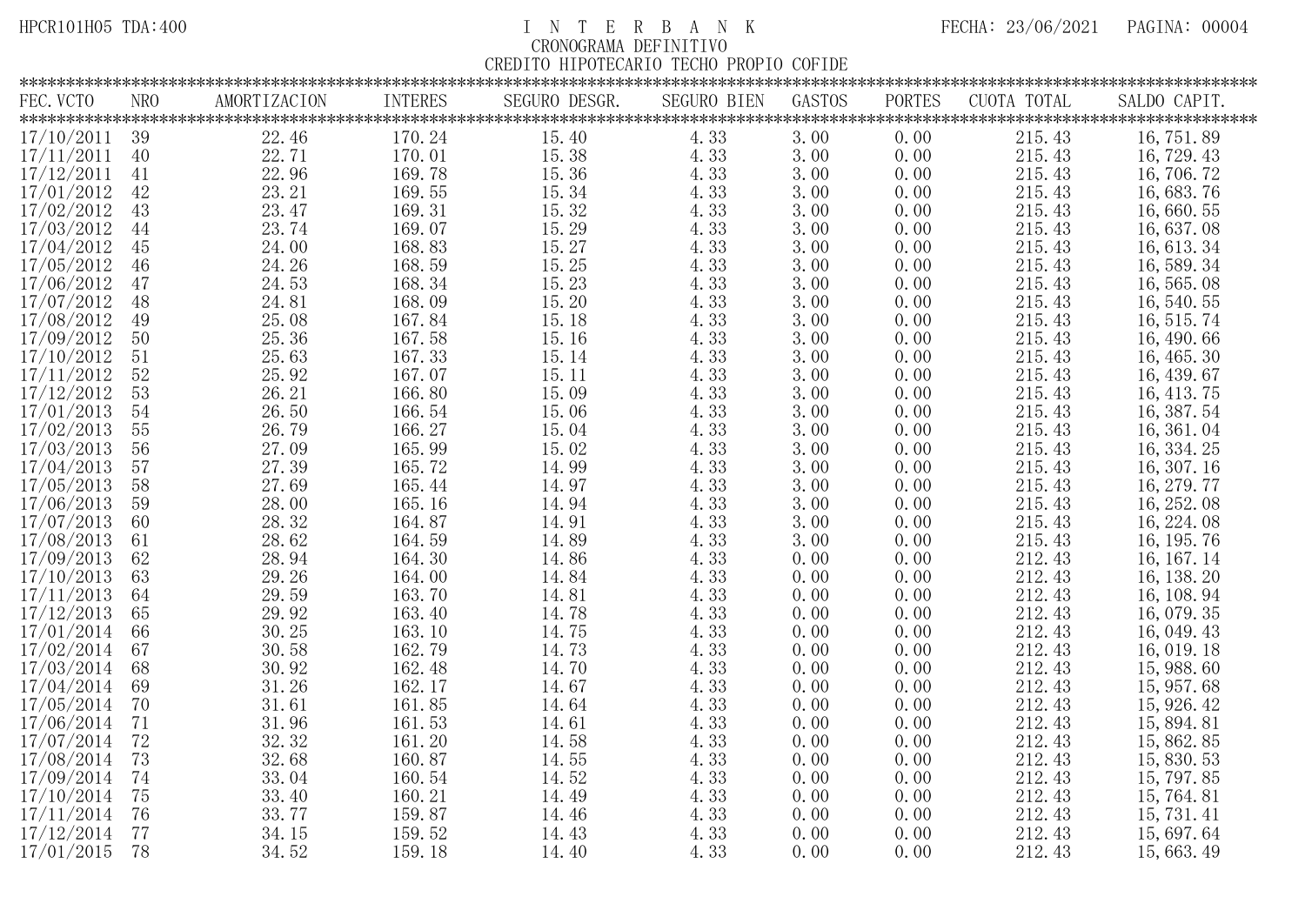| FEC. VCTO       | NRO | AMORTIZACION | INTERES | SEGURO DESGR. | <b>SEGURO BIEN</b> | GASTOS | PORTES | CUOTA TOTAL | SALDO CAPIT. |
|-----------------|-----|--------------|---------|---------------|--------------------|--------|--------|-------------|--------------|
|                 |     |              |         |               |                    |        |        |             |              |
| $17/10/2011$ 39 |     | 22.46        | 170.24  | 15.40         | 4.33               | 3.00   | 0.00   | 215.43      | 16, 751.89   |
| 17/11/2011      | 40  | 22.71        | 170.01  | 15.38         | 4.33               | 3.00   | 0.00   | 215.43      | 16, 729. 43  |
| 17/12/2011      | 41  | 22.96        | 169.78  | 15.36         | 4.33               | 3.00   | 0.00   | 215.43      | 16, 706. 72  |
| 17/01/2012      | 42  | 23.21        | 169.55  | 15.34         | 4.33               | 3.00   | 0.00   | 215.43      | 16, 683. 76  |
| 17/02/2012      | 43  | 23.47        | 169.31  | 15.32         | 4.33               | 3.00   | 0.00   | 215.43      | 16,660.55    |
| 17/03/2012      | 44  | 23.74        | 169.07  | 15.29         | 4.33               | 3.00   | 0.00   | 215.43      | 16, 637.08   |
| 17/04/2012      | 45  | 24.00        | 168.83  | 15.27         | 4.33               | 3.00   | 0.00   | 215.43      | 16, 613. 34  |
| 17/05/2012      | 46  | 24.26        | 168.59  | 15.25         | 4.33               | 3.00   | 0.00   | 215.43      | 16, 589. 34  |
| 17/06/2012      | 47  | 24.53        | 168.34  | 15.23         | 4.33               | 3.00   | 0.00   | 215.43      | 16, 565. 08  |
| 17/07/2012      | 48  | 24.81        | 168.09  | 15.20         | 4.33               | 3.00   | 0.00   | 215.43      | 16, 540. 55  |
| 17/08/2012      | 49  | 25.08        | 167.84  | 15.18         | 4.33               | 3.00   | 0.00   | 215.43      | 16, 515.74   |
| 17/09/2012      | 50  | 25.36        | 167.58  | 15.16         | 4.33               | 3.00   | 0.00   | 215.43      | 16, 490.66   |
| 17/10/2012      | 51  | 25.63        | 167.33  | 15.14         | 4.33               | 3.00   | 0.00   | 215.43      | 16, 465. 30  |
| 17/11/2012      | 52  | 25.92        | 167.07  | 15.11         | 4.33               | 3.00   | 0.00   | 215.43      | 16, 439.67   |
| 17/12/2012      | 53  | 26.21        | 166.80  | 15.09         | 4.33               | 3.00   | 0.00   | 215.43      | 16, 413.75   |
| 17/01/2013      | 54  | 26.50        | 166.54  | 15.06         | 4.33               | 3.00   | 0.00   | 215.43      | 16, 387. 54  |
| 17/02/2013      | 55  | 26.79        | 166.27  | 15.04         | 4.33               | 3.00   | 0.00   | 215.43      | 16, 361. 04  |
| 17/03/2013      | 56  | 27.09        | 165.99  | 15.02         | 4.33               | 3.00   | 0.00   | 215.43      | 16, 334. 25  |
| 17/04/2013      | 57  | 27.39        | 165.72  | 14.99         | 4.33               | 3.00   | 0.00   | 215.43      | 16, 307. 16  |
| 17/05/2013      | 58  | 27.69        | 165.44  | 14.97         | 4.33               | 3.00   | 0.00   | 215.43      | 16, 279.77   |
| 17/06/2013      | 59  | 28.00        | 165.16  | 14.94         | 4.33               | 3.00   | 0.00   | 215.43      | 16, 252.08   |
| 17/07/2013      | 60  | 28.32        | 164.87  | 14.91         | 4.33               | 3.00   | 0.00   | 215.43      | 16, 224. 08  |
| 17/08/2013      | 61  | 28.62        | 164.59  | 14.89         | 4.33               | 3.00   | 0.00   | 215.43      | 16, 195. 76  |
| 17/09/2013      | 62  | 28.94        | 164.30  | 14.86         | 4.33               | 0.00   | 0.00   | 212.43      | 16, 167. 14  |
| 17/10/2013      | 63  | 29.26        | 164.00  | 14.84         | 4.33               | 0.00   | 0.00   | 212.43      | 16, 138. 20  |
| 17/11/2013      | 64  | 29.59        | 163.70  | 14.81         | 4.33               | 0.00   | 0.00   | 212.43      | 16, 108. 94  |
| 17/12/2013      | 65  | 29.92        | 163.40  | 14.78         | 4.33               | 0.00   | 0.00   | 212.43      | 16, 079. 35  |
| 17/01/2014      | 66  | 30.25        | 163.10  | 14.75         | 4.33               | 0.00   | 0.00   | 212.43      | 16, 049. 43  |
| 17/02/2014      | 67  | 30.58        | 162.79  | 14.73         | 4.33               | 0.00   | 0.00   | 212.43      | 16, 019. 18  |
| 17/03/2014      | 68  | 30.92        | 162.48  | 14.70         | 4.33               | 0.00   | 0.00   | 212.43      | 15, 988.60   |
| 17/04/2014      | 69  | 31.26        | 162.17  | 14.67         | 4.33               | 0.00   | 0.00   | 212.43      | 15, 957.68   |
| 17/05/2014      | 70  | 31.61        | 161.85  | 14.64         | 4.33               | 0.00   | 0.00   | 212.43      | 15, 926. 42  |
| 17/06/2014      | 71  | 31.96        | 161.53  | 14.61         | 4.33               | 0.00   | 0.00   | 212.43      | 15, 894. 81  |
| 17/07/2014      | 72  | 32.32        | 161.20  | 14.58         | 4.33               | 0.00   | 0.00   | 212.43      | 15, 862. 85  |
| 17/08/2014      | 73  | 32.68        | 160.87  | 14.55         | 4.33               | 0.00   | 0.00   | 212.43      | 15, 830. 53  |
| 17/09/2014      | 74  | 33.04        | 160.54  | 14.52         | 4.33               | 0.00   | 0.00   | 212.43      | 15, 797.85   |
| 17/10/2014      | 75  | 33.40        | 160.21  | 14.49         | 4.33               | 0.00   | 0.00   | 212.43      | 15, 764. 81  |
| 17/11/2014      | 76  | 33.77        | 159.87  | 14.46         | 4.33               | 0.00   | 0.00   | 212.43      | 15, 731. 41  |
| 17/12/2014      | 77  | 34.15        | 159.52  | 14.43         | 4.33               | 0.00   | 0.00   | 212.43      | 15, 697. 64  |
| 17/01/2015      | 78  | 34.52        | 159.18  | 14.40         | 4.33               | 0.00   | 0.00   | 212.43      | 15,663.49    |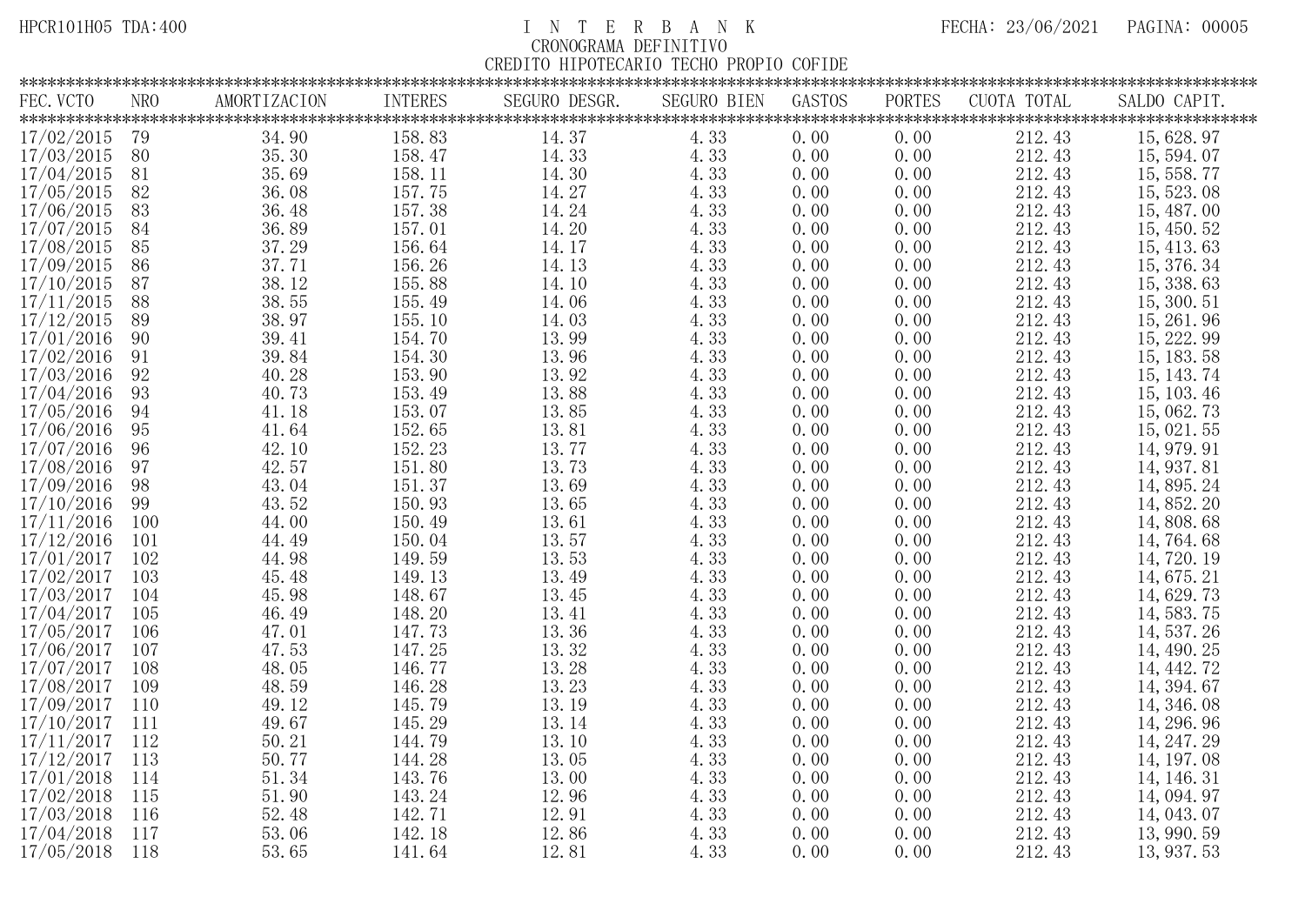| FEC. VCTO        | <b>NRO</b> | AMORTIZACION | INTERES | SEGURO DESGR. | <b>SEGURO BIEN</b> | GASTOS | PORTES | CUOTA TOTAL | SALDO CAPIT. |
|------------------|------------|--------------|---------|---------------|--------------------|--------|--------|-------------|--------------|
|                  |            |              |         |               |                    |        |        |             |              |
| 17/02/2015       | 79         | 34.90        | 158.83  | 14.37         | 4.33               | 0.00   | 0.00   | 212.43      | 15, 628. 97  |
| 17/03/2015       | 80         | 35.30        | 158.47  | 14.33         | 4.33               | 0.00   | 0.00   | 212.43      | 15, 594. 07  |
| 17/04/2015       | 81         | 35.69        | 158.11  | 14.30         | 4.33               | 0.00   | 0.00   | 212.43      | 15, 558. 77  |
| 17/05/2015       | 82         | 36.08        | 157.75  | 14.27         | 4.33               | 0.00   | 0.00   | 212.43      | 15, 523, 08  |
| 17/06/2015       | 83         | 36.48        | 157.38  | 14.24         | 4.33               | 0.00   | 0.00   | 212.43      | 15, 487.00   |
| 17/07/2015       | 84         | 36.89        | 157.01  | 14.20         | 4.33               | 0.00   | 0.00   | 212.43      | 15, 450. 52  |
| 17/08/2015       | 85         | 37.29        | 156.64  | 14.17         | 4.33               | 0.00   | 0.00   | 212.43      | 15, 413.63   |
| 17/09/2015       | 86         | 37.71        | 156.26  | 14.13         | 4.33               | 0.00   | 0.00   | 212.43      | 15, 376. 34  |
| 17/10/2015       | 87         | 38.12        | 155.88  | 14.10         | 4.33               | 0.00   | 0.00   | 212.43      | 15, 338.63   |
| 17/11/2015       | 88         | 38.55        | 155.49  | 14.06         | 4.33               | 0.00   | 0.00   | 212.43      | 15, 300. 51  |
| 17/12/2015       | 89         | 38.97        | 155.10  | 14.03         | 4.33               | 0.00   | 0.00   | 212.43      | 15, 261.96   |
| 17/01/2016       | 90         | 39.41        | 154.70  | 13.99         | 4.33               | 0.00   | 0.00   | 212.43      | 15, 222.99   |
| 17/02/2016       | 91         | 39.84        | 154.30  | 13.96         | 4.33               | 0.00   | 0.00   | 212.43      | 15, 183. 58  |
| 17/03/2016       | 92         | 40.28        | 153.90  | 13.92         | 4.33               | 0.00   | 0.00   | 212.43      | 15, 143. 74  |
| 17/04/2016       | 93         | 40.73        | 153.49  | 13.88         | 4.33               | 0.00   | 0.00   | 212.43      | 15, 103. 46  |
| 17/05/2016       | 94         | 41.18        | 153.07  | 13.85         | 4.33               | 0.00   | 0.00   | 212.43      | 15, 062. 73  |
| 17/06/2016       | 95         | 41.64        | 152.65  | 13.81         | 4.33               | 0.00   | 0.00   | 212.43      | 15, 021.55   |
| 17/07/2016       | 96         | 42.10        | 152.23  | 13.77         | 4.33               | 0.00   | 0.00   | 212.43      | 14, 979. 91  |
| 17/08/2016       | 97         | 42.57        | 151.80  | 13.73         | 4.33               | 0.00   | 0.00   | 212.43      | 14, 937. 81  |
| 17/09/2016       | 98         | 43.04        | 151.37  | 13.69         | 4.33               | 0.00   | 0.00   | 212.43      | 14, 895. 24  |
| 17/10/2016       | 99         | 43.52        | 150.93  | 13.65         | 4.33               | 0.00   | 0.00   | 212.43      | 14, 852. 20  |
| 17/11/2016       | 100        | 44.00        | 150.49  | 13.61         | 4.33               | 0.00   | 0.00   | 212.43      | 14, 808. 68  |
| 17/12/2016       | 101        | 44.49        | 150.04  | 13.57         | 4.33               | 0.00   | 0.00   | 212.43      | 14, 764. 68  |
| 17/01/2017       | 102        | 44.98        | 149.59  | 13.53         | 4.33               | 0.00   | 0.00   | 212.43      | 14, 720. 19  |
| 17/02/2017       | 103        | 45.48        | 149.13  | 13.49         | 4.33               | 0.00   | 0.00   | 212.43      | 14, 675. 21  |
| 17/03/2017       | 104        | 45.98        | 148.67  | 13.45         | 4.33               | 0.00   | 0.00   | 212.43      | 14, 629. 73  |
| 17/04/2017       | 105        | 46.49        | 148.20  | 13.41         | 4.33               | 0.00   | 0.00   | 212.43      | 14, 583. 75  |
| 17/05/2017       | 106        | 47.01        | 147.73  | 13.36         | 4.33               | 0.00   | 0.00   | 212.43      | 14, 537. 26  |
| 17/06/2017       | 107        | 47.53        | 147.25  | 13.32         | 4.33               | 0.00   | 0.00   | 212.43      | 14, 490. 25  |
| 17/07/2017       | 108        | 48.05        | 146.77  | 13.28         | 4.33               | 0.00   | 0.00   | 212.43      | 14, 442. 72  |
| 17/08/2017       | 109        | 48.59        | 146.28  | 13.23         | 4.33               | 0.00   | 0.00   | 212.43      | 14, 394. 67  |
| 17/09/2017       | 110        | 49.12        | 145.79  | 13.19         | 4.33               | 0.00   | 0.00   | 212.43      | 14, 346. 08  |
| 17/10/2017       | 111        | 49.67        | 145.29  | 13.14         | 4.33               | 0.00   | 0.00   | 212.43      | 14, 296. 96  |
| $17/11/2017$ 112 |            | 50.21        | 144.79  | 13.10         | 4.33               | 0.00   | 0.00   | 212.43      | 14, 247. 29  |
| 17/12/2017       | 113        | 50.77        | 144.28  | 13.05         | 4.33               | 0.00   | 0.00   | 212.43      | 14, 197. 08  |
| 17/01/2018       | 114        | 51.34        | 143.76  | 13.00         | 4.33               | 0.00   | 0.00   | 212.43      | 14, 146. 31  |
| 17/02/2018       | 115        | 51.90        | 143.24  | 12.96         | 4.33               | 0.00   | 0.00   | 212.43      | 14, 094. 97  |
| 17/03/2018       | 116        | 52.48        | 142.71  | 12.91         | 4.33               | 0.00   | 0.00   | 212.43      | 14, 043, 07  |
| 17/04/2018       | 117        | 53.06        | 142.18  | 12.86         | 4.33               | 0.00   | 0.00   | 212.43      | 13, 990. 59  |
| 17/05/2018       | 118        | 53.65        | 141.64  | 12.81         | 4.33               | 0.00   | 0.00   | 212.43      | 13, 937. 53  |
|                  |            |              |         |               |                    |        |        |             |              |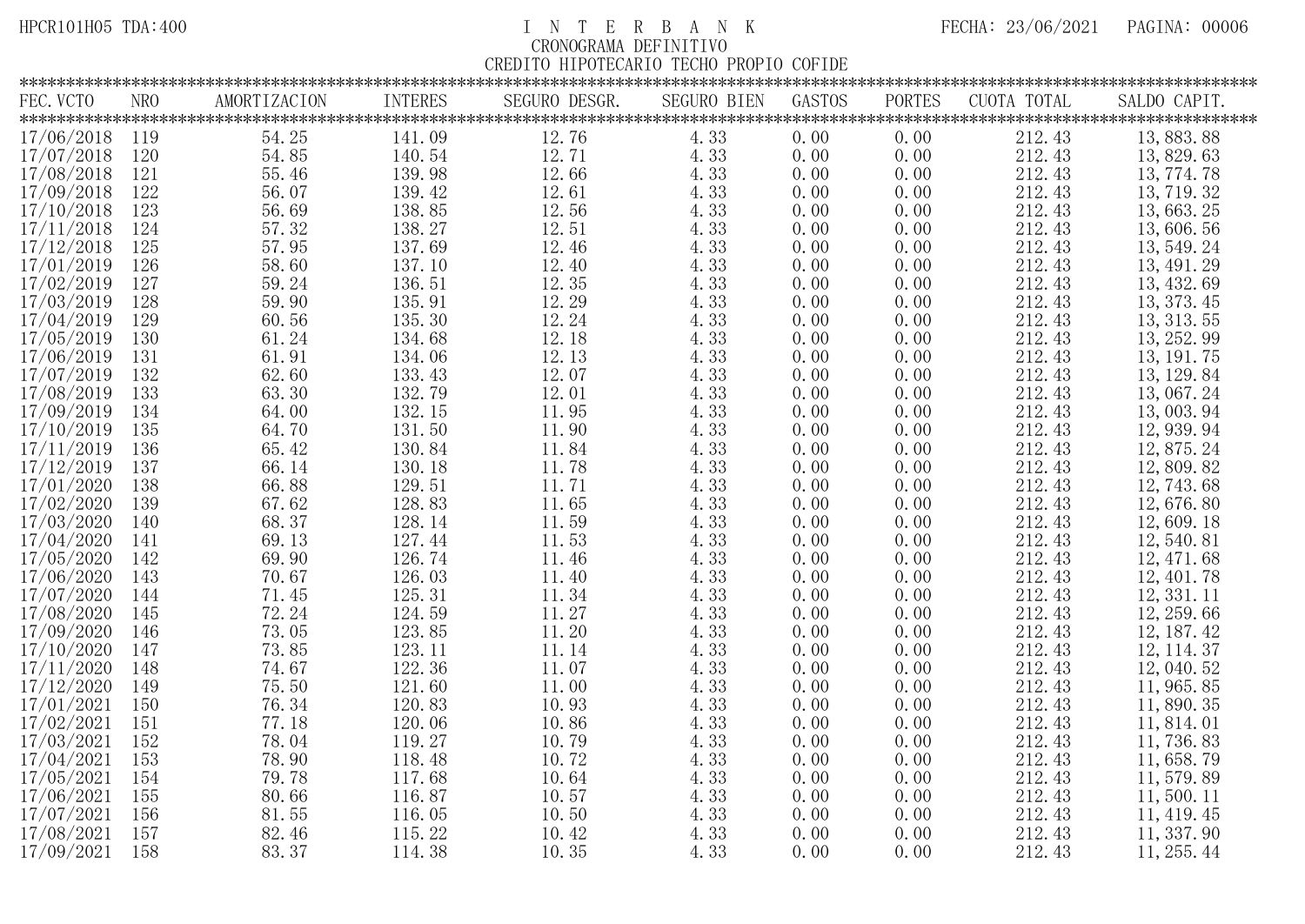| FEC. VCTO  | NRO | AMORTIZACION | <b>INTERES</b> | SEGURO DESGR. | <b>SEGURO BIEN</b> | GASTOS | <b>PORTES</b> | CUOTA TOTAL | SALDO CAPIT. |
|------------|-----|--------------|----------------|---------------|--------------------|--------|---------------|-------------|--------------|
|            |     |              |                |               |                    |        |               |             |              |
| 17/06/2018 | 119 | 54.25        | 141.09         | 12.76         | 4.33               | 0.00   | 0.00          | 212.43      | 13, 883. 88  |
| 17/07/2018 | 120 | 54.85        | 140.54         | 12.71         | 4.33               | 0.00   | 0.00          | 212.43      | 13, 829. 63  |
| 17/08/2018 | 121 | 55.46        | 139.98         | 12.66         | 4.33               | 0.00   | 0.00          | 212.43      | 13, 774. 78  |
| 17/09/2018 | 122 | 56.07        | 139.42         | 12.61         | 4.33               | 0.00   | 0.00          | 212.43      | 13, 719. 32  |
| 17/10/2018 | 123 | 56.69        | 138.85         | 12.56         | 4.33               | 0.00   | 0.00          | 212.43      | 13, 663. 25  |
| 17/11/2018 | 124 | 57.32        | 138.27         | 12.51         | 4.33               | 0.00   | 0.00          | 212.43      | 13,606.56    |
| 17/12/2018 | 125 | 57.95        | 137.69         | 12.46         | 4.33               | 0.00   | 0.00          | 212.43      | 13, 549. 24  |
| 17/01/2019 | 126 | 58.60        | 137.10         | 12.40         | 4.33               | 0.00   | 0.00          | 212.43      | 13, 491. 29  |
| 17/02/2019 | 127 | 59.24        | 136.51         | 12.35         | 4.33               | 0.00   | 0.00          | 212.43      | 13, 432.69   |
| 17/03/2019 | 128 | 59.90        | 135.91         | 12.29         | 4.33               | 0.00   | 0.00          | 212.43      | 13, 373. 45  |
| 17/04/2019 | 129 | 60.56        | 135.30         | 12.24         | 4.33               | 0.00   | 0.00          | 212.43      | 13, 313. 55  |
| 17/05/2019 | 130 | 61.24        | 134.68         | 12.18         | 4.33               | 0.00   | 0.00          | 212.43      | 13, 252.99   |
| 17/06/2019 | 131 | 61.91        | 134.06         | 12.13         | 4.33               | 0.00   | 0.00          | 212.43      | 13, 191. 75  |
| 17/07/2019 | 132 | 62.60        | 133.43         | 12.07         | 4.33               | 0.00   | 0.00          | 212.43      | 13, 129. 84  |
| 17/08/2019 | 133 | 63.30        | 132.79         | 12.01         | 4.33               | 0.00   | 0.00          | 212.43      | 13,067.24    |
| 17/09/2019 | 134 | 64.00        | 132.15         | 11.95         | 4.33               | 0.00   | 0.00          | 212.43      | 13,003.94    |
| 17/10/2019 | 135 | 64.70        | 131.50         | 11.90         | 4.33               | 0.00   | 0.00          | 212.43      | 12, 939.94   |
| 17/11/2019 | 136 | 65.42        | 130.84         | 11.84         | 4.33               | 0.00   | 0.00          | 212.43      | 12, 875. 24  |
| 17/12/2019 | 137 | 66.14        | 130.18         | 11.78         | 4.33               | 0.00   | 0.00          | 212.43      | 12, 809. 82  |
| 17/01/2020 | 138 | 66.88        | 129.51         | 11.71         | 4.33               | 0.00   | 0.00          | 212.43      | 12, 743.68   |
| 17/02/2020 | 139 | 67.62        | 128.83         | 11.65         | 4.33               | 0.00   | 0.00          | 212.43      | 12,676.80    |
| 17/03/2020 | 140 | 68.37        | 128.14         | 11.59         | 4.33               | 0.00   | 0.00          | 212.43      | 12,609.18    |
| 17/04/2020 | 141 | 69.13        | 127.44         | 11.53         | 4.33               | 0.00   | 0.00          | 212.43      | 12, 540. 81  |
| 17/05/2020 | 142 | 69.90        | 126.74         | 11.46         | 4.33               | 0.00   | 0.00          | 212.43      | 12, 471.68   |
| 17/06/2020 | 143 | 70.67        | 126.03         | 11.40         | 4.33               | 0.00   | 0.00          | 212.43      | 12, 401.78   |
| 17/07/2020 | 144 | 71.45        | 125.31         | 11.34         | 4.33               | 0.00   | 0.00          | 212.43      | 12, 331. 11  |
| 17/08/2020 | 145 | 72.24        | 124.59         | 11.27         | 4.33               | 0.00   | 0.00          | 212.43      | 12, 259.66   |
| 17/09/2020 | 146 | 73.05        | 123.85         | 11.20         | 4.33               | 0.00   | 0.00          | 212.43      | 12, 187. 42  |
| 17/10/2020 | 147 | 73.85        | 123.11         | 11.14         | 4.33               | 0.00   | 0.00          | 212.43      | 12, 114. 37  |
| 17/11/2020 | 148 | 74.67        | 122.36         | 11.07         | 4.33               | 0.00   | 0.00          | 212.43      | 12, 040. 52  |
| 17/12/2020 | 149 | 75.50        | 121.60         | 11.00         | 4.33               | 0.00   | 0.00          | 212.43      | 11, 965.85   |
| 17/01/2021 | 150 | 76.34        | 120.83         | 10.93         | 4.33               | 0.00   | 0.00          | 212.43      | 11,890.35    |
| 17/02/2021 | 151 | 77.18        | 120.06         | 10.86         | 4.33               | 0.00   | 0.00          | 212.43      | 11, 814. 01  |
| 17/03/2021 | 152 | 78.04        | 119.27         | 10.79         | 4.33               | 0.00   | 0.00          | 212.43      | 11,736.83    |
| 17/04/2021 | 153 | 78.90        | 118.48         | 10.72         | 4.33               | 0.00   | 0.00          | 212.43      | 11, 658. 79  |
| 17/05/2021 | 154 | 79.78        | 117.68         | 10.64         | 4.33               | 0.00   | 0.00          | 212.43      | 11, 579.89   |
| 17/06/2021 | 155 | 80.66        | 116.87         | 10.57         | 4.33               | 0.00   | 0.00          | 212.43      | 11,500.11    |
| 17/07/2021 | 156 | 81.55        | 116.05         | 10.50         | 4.33               | 0.00   | 0.00          | 212.43      | 11, 419. 45  |
| 17/08/2021 | 157 | 82.46        | 115.22         | 10.42         | 4.33               | 0.00   | 0.00          | 212.43      | 11, 337.90   |
| 17/09/2021 | 158 | 83.37        | 114.38         | 10.35         | 4.33               | 0.00   | 0.00          | 212.43      | 11, 255.44   |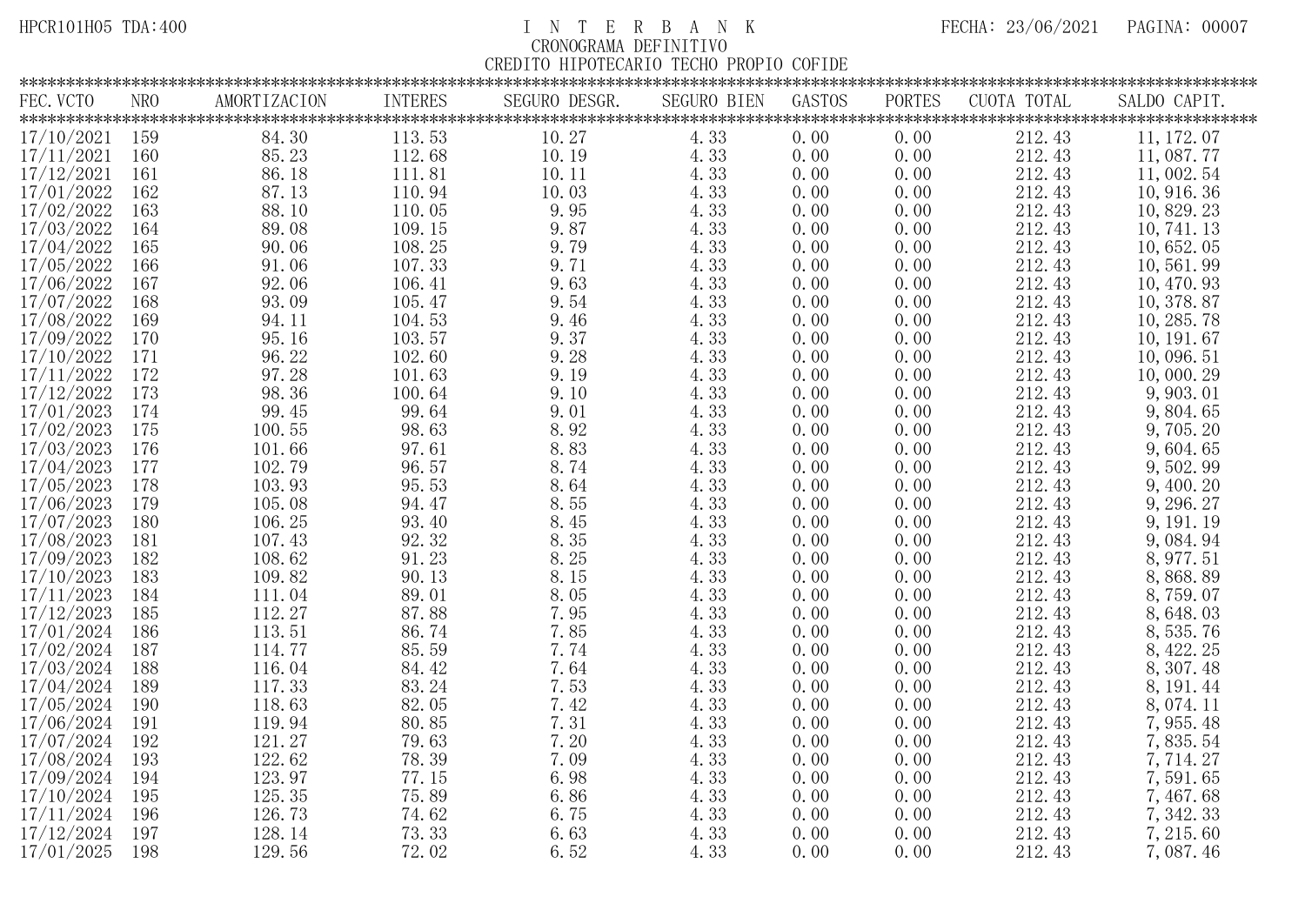| FEC. VCTO  | NRO | AMORTIZACION            | <b>INTERES</b>        | SEGURO DESGR. | <b>SEGURO BIEN</b> | GASTOS | <b>PORTES</b> | CUOTA TOTAL | SALDO CAPIT. |
|------------|-----|-------------------------|-----------------------|---------------|--------------------|--------|---------------|-------------|--------------|
|            |     |                         |                       |               |                    |        |               |             |              |
| 17/10/2021 | 159 | 84.30                   | 113.53                | 10.27         | 4.33               | 0.00   | 0.00          | 212.43      | 11, 172. 07  |
| 17/11/2021 | 160 | 85.23                   | 112.68                | 10.19         | 4.33               | 0.00   | 0.00          | 212.43      | 11,087.77    |
| 17/12/2021 | 161 | 86.18                   | 111.81                | 10.11         | 4.33               | 0.00   | 0.00          | 212.43      | 11,002.54    |
| 17/01/2022 | 162 | 87.13                   | 110.94                | 10.03         | 4.33               | 0.00   | 0.00          | 212.43      | 10, 916. 36  |
| 17/02/2022 | 163 | 88.10                   | 110.05                | 9.95          | 4.33               | 0.00   | 0.00          | 212.43      | 10, 829. 23  |
| 17/03/2022 | 164 | 89.08                   | 109.15                | 9.87          | 4.33               | 0.00   | 0.00          | 212.43      | 10, 741. 13  |
| 17/04/2022 | 165 | 90.06                   | 108.25                | 9.79          | 4.33               | 0.00   | 0.00          | 212.43      | 10,652.05    |
| 17/05/2022 | 166 | 91.06                   | 107.33                | 9.71          | 4.33               | 0.00   | 0.00          | 212.43      | 10, 561.99   |
| 17/06/2022 | 167 | 92.06                   | 106.41                | 9.63          | 4.33               | 0.00   | 0.00          | 212.43      | 10, 470.93   |
| 17/07/2022 | 168 | 93.09                   | 105.47                | 9.54          | 4.33               | 0.00   | 0.00          | 212.43      | 10, 378.87   |
| 17/08/2022 | 169 | 94.11                   | 104.53                | 9.46          | 4.33               | 0.00   | 0.00          | 212.43      | 10, 285.78   |
| 17/09/2022 | 170 | 95.16                   | 103.57                | 9.37          | 4.33               | 0.00   | 0.00          | 212.43      | 10, 191.67   |
| 17/10/2022 | 171 | 96.22                   | 102.60                | 9.28          | 4.33               | 0.00   | 0.00          | 212.43      | 10,096.51    |
| 17/11/2022 | 172 | 97.28                   | 101.63                | 9.19          | 4.33               | 0.00   | 0.00          | 212.43      | 10,000.29    |
| 17/12/2022 | 173 | 98.36                   | 100.64                | 9.10          | 4.33               | 0.00   | 0.00          | 212.43      | 9,903.01     |
| 17/01/2023 | 174 | 99.45                   | 99.64                 | 9.01          | 4.33               | 0.00   | 0.00          | 212.43      | 9,804.65     |
| 17/02/2023 | 175 | 100.55                  | 98.63                 | 8.92          | 4.33               | 0.00   | 0.00          | 212.43      | 9,705.20     |
| 17/03/2023 | 176 | 101.66                  | 97.61                 | 8.83          | 4.33               | 0.00   | 0.00          | 212.43      | 9,604.65     |
| 17/04/2023 | 177 | 102.79                  | 96.57                 | 8.74          | 4.33               | 0.00   | 0.00          | 212.43      | 9,502.99     |
| 17/05/2023 | 178 | 103.93                  | $95.\,\allowbreak 53$ | 8.64          | 4.33               | 0.00   | 0.00          | 212.43      | 9, 400. 20   |
| 17/06/2023 | 179 | 105.08                  | 94.47                 | 8.55          | 4.33               | 0.00   | 0.00          | 212.43      | 9, 296. 27   |
| 17/07/2023 | 180 | 106.25                  | $93.40$<br>$92.32$    | 8.45          | 4.33               | 0.00   | 0.00          | 212.43      | 9, 191. 19   |
| 17/08/2023 | 181 | 107.43                  |                       | 8.35          | 4.33               | 0.00   | 0.00          | 212.43      | 9,084.94     |
| 17/09/2023 | 182 | $108.62$<br>$109.82$    | 91.23                 | 8.25          | 4.33               | 0.00   | 0.00          | 212.43      | 8, 977.51    |
| 17/10/2023 | 183 |                         | 90.13                 | 8.15          | 4.33               | 0.00   | 0.00          | 212.43      | 8,868.89     |
| 17/11/2023 | 184 | 111.04                  | 89.01                 | 8.05          | 4.33               | 0.00   | 0.00          | 212.43      | 8,759.07     |
| 17/12/2023 | 185 | 112.27                  | 87.88                 | 7.95          | 4.33               | 0.00   | 0.00          | 212.43      | 8,648.03     |
| 17/01/2024 | 186 | $\frac{113.51}{114.77}$ | 86.74                 | 7.85          | 4.33               | 0.00   | 0.00          | 212.43      | 8,535.76     |
| 17/02/2024 | 187 |                         | 85.59                 | 7.74          | 4.33               | 0.00   | 0.00          | 212.43      | 8, 422. 25   |
| 17/03/2024 | 188 | 116.04                  | 84.42                 | 7.64          | 4.33               | 0.00   | 0.00          | 212.43      | 8, 307.48    |
| 17/04/2024 | 189 | 117.33                  | 83.24                 | 7.53          | 4.33               | 0.00   | 0.00          | 212.43      | 8, 191. 44   |
| 17/05/2024 | 190 | 118.63                  | $82.05$<br>$80.85$    | 7.42          | 4.33               | 0.00   | 0.00          | 212.43      | 8,074.11     |
| 17/06/2024 | 191 | 119.94                  |                       | 7.31          | 4.33               | 0.00   | 0.00          | 212.43      | 7,955.48     |
| 17/07/2024 | 192 | 121.27                  | 79.63                 | 7.20          | 4.33               | 0.00   | 0.00          | 212.43      | 7,835.54     |
| 17/08/2024 | 193 | 122.62                  | 78.39                 | 7.09          | 4.33               | 0.00   | 0.00          | 212.43      | 7, 714. 27   |
| 17/09/2024 | 194 | 123.97                  | 77.15                 | 6.98          | 4.33               | 0.00   | 0.00          | 212.43      | 7,591.65     |
| 17/10/2024 | 195 | 125.35                  | 75.89                 | 6.86          | 4.33               | 0.00   | 0.00          | 212.43      | 7,467.68     |
| 17/11/2024 | 196 | 126.73                  | 74.62                 | 6.75          | 4.33               | 0.00   | 0.00          | 212.43      | 7, 342.33    |
| 17/12/2024 | 197 | 128.14                  | 73.33                 | 6.63          | 4.33               | 0.00   | 0.00          | 212.43      | 7, 215, 60   |
| 17/01/2025 | 198 | 129.56                  | 72.02                 | 6.52          | 4.33               | 0.00   | 0.00          | 212.43      | 7,087.46     |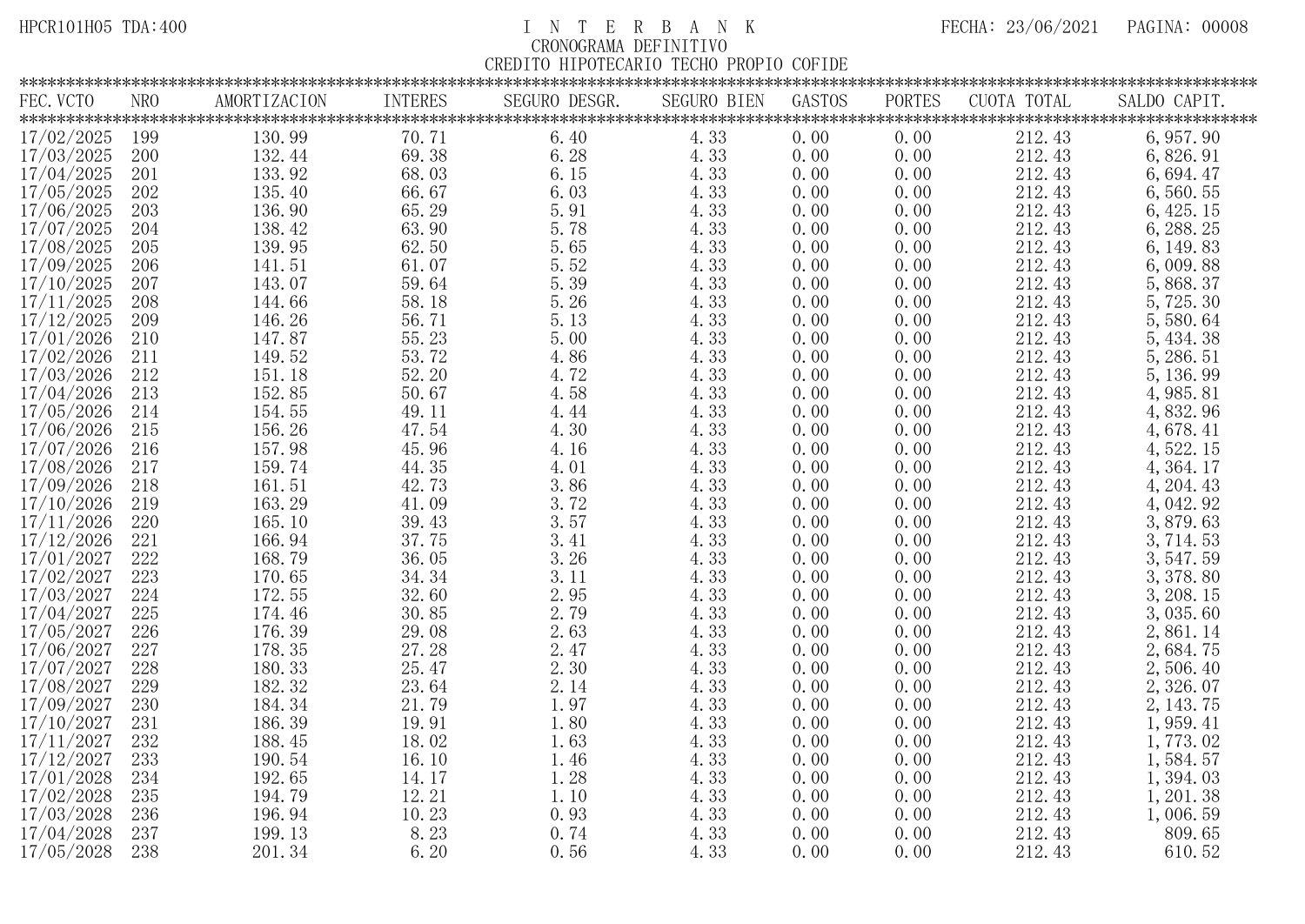| FEC. VCTO |            | NRO | AMORTIZACION                                    | <b>INTERES</b>                                         | SEGURO DESGR. | <b>SEGURO BIEN</b> | GASTOS | PORTES | CUOTA TOTAL | SALDO CAPIT. |
|-----------|------------|-----|-------------------------------------------------|--------------------------------------------------------|---------------|--------------------|--------|--------|-------------|--------------|
|           |            |     |                                                 |                                                        |               |                    |        |        |             |              |
|           | 17/02/2025 | 199 | 130.99                                          | 70.71                                                  | 6.40          | 4.33               | 0.00   | 0.00   | 212.43      | 6, 957.90    |
|           | 17/03/2025 | 200 | 132.44                                          | 69.38                                                  | 6.28          | 4.33               | 0.00   | 0.00   | 212.43      | 6,826.91     |
|           | 17/04/2025 | 201 | 133.92                                          | 68.03                                                  | 6.15          | 4.33               | 0.00   | 0.00   | 212.43      | 6,694.47     |
|           | 17/05/2025 | 202 | 135.40                                          | 66.67                                                  | 6.03          | 4.33               | 0.00   | 0.00   | 212.43      | 6,560.55     |
|           | 17/06/2025 | 203 | $\begin{array}{c} 136.90 \\ 138.42 \end{array}$ | 65.29                                                  | 5.91          | 4.33               | 0.00   | 0.00   | 212.43      | 6, 425. 15   |
|           | 17/07/2025 | 204 |                                                 | 63.90                                                  | 5.78          | 4.33               | 0.00   | 0.00   | 212.43      | 6, 288. 25   |
|           | 17/08/2025 | 205 | 139.95                                          | $62.\,\allowbreak 50\,\allowbreak 61.\,\allowbreak 07$ | $5.65\,$      | 4.33               | 0.00   | 0.00   | 212.43      | 6, 149.83    |
|           | 17/09/2025 | 206 | 141.51                                          |                                                        | 5.52          | 4.33               | 0.00   | 0.00   | 212.43      | 6,009.88     |
|           | 17/10/2025 | 207 | 143.07                                          | 59.64                                                  | 5.39          | 4.33               | 0.00   | 0.00   | 212.43      | 5, 868.37    |
|           | 17/11/2025 | 208 | 144.66                                          | 58.18                                                  | 5.26          | 4.33               | 0.00   | 0.00   | 212.43      | 5,725.30     |
|           | 17/12/2025 | 209 | 146.26                                          |                                                        | 5.13          | 4.33               | 0.00   | 0.00   | 212.43      | 5,580.64     |
|           | 17/01/2026 | 210 | 147.87                                          |                                                        | 5.00          | 4.33               | 0.00   | 0.00   | 212.43      | 5, 434.38    |
|           | 17/02/2026 | 211 |                                                 | $56.71$<br>$55.23$<br>$53.72$<br>$52.20$<br>$50.67$    | 4.86          | 4.33               | 0.00   | 0.00   | 212.43      | 5, 286. 51   |
|           | 17/03/2026 | 212 | $\begin{array}{c} 149.52 \\ 151.18 \end{array}$ |                                                        | 4.72          | 4.33               | 0.00   | 0.00   | 212.43      | 5, 136.99    |
|           | 17/04/2026 | 213 | 152.85                                          |                                                        | 4.58          | 4.33               | 0.00   | 0.00   | 212.43      | 4, 985. 81   |
|           | 17/05/2026 | 214 | 154.55                                          | $\begin{array}{c} 49.11 \\ 47.54 \end{array}$          | 4.44          | 4.33               | 0.00   | 0.00   | 212.43      | 4,832.96     |
|           | 17/06/2026 | 215 | 156.26                                          |                                                        | 4.30          | 4.33               | 0.00   | 0.00   | 212.43      | 4,678.41     |
|           | 17/07/2026 | 216 | 157.98                                          |                                                        | 4.16          | 4.33               | 0.00   | 0.00   | 212.43      | 4, 522. 15   |
|           | 17/08/2026 | 217 | 159.74                                          |                                                        | 4.01          | 4.33               | 0.00   | 0.00   | 212.43      | 4, 364. 17   |
|           | 17/09/2026 | 218 |                                                 | $45.96$<br>$44.35$<br>$42.73$                          | 3.86          | 4.33               | 0.00   | 0.00   | 212.43      | 4, 204. 43   |
|           | 17/10/2026 | 219 | $\begin{array}{c} 161.51 \\ 163.29 \end{array}$ | $41.09$<br>$39.43$<br>$37.75$<br>$36.05$               | 3.72          | 4.33               | 0.00   | 0.00   | 212.43      | 4, 042.92    |
|           | 17/11/2026 | 220 | 165.10                                          |                                                        | 3.57          | 4.33               | 0.00   | 0.00   | 212.43      | 3,879.63     |
|           | 17/12/2026 | 221 | 166.94                                          |                                                        | 3.41          | 4.33               | 0.00   | 0.00   | 212.43      | 3, 714. 53   |
|           | 17/01/2027 | 222 | 168.79                                          |                                                        | 3.26          | 4.33               | 0.00   | 0.00   | 212.43      | 3, 547.59    |
|           | 17/02/2027 | 223 | 170.65                                          | 34.34                                                  | 3.11          | 4.33               | 0.00   | 0.00   | 212.43      | 3, 378.80    |
|           | 17/03/2027 | 224 | 172.55                                          | $\frac{32.60}{30.85}$                                  | 2.95          | 4.33               | 0.00   | 0.00   | 212.43      | 3, 208. 15   |
|           | 17/04/2027 | 225 | 174.46                                          |                                                        | 2.79          | 4.33               | 0.00   | 0.00   | 212.43      | 3,035.60     |
|           | 17/05/2027 | 226 | $\begin{array}{c} 176.39 \\ 178.35 \end{array}$ |                                                        | 2.63          | 4.33               | 0.00   | 0.00   | 212.43      | 2,861.14     |
|           | 17/06/2027 | 227 |                                                 |                                                        | 2.47          | 4.33               | 0.00   | 0.00   | 212.43      | 2,684.75     |
|           | 17/07/2027 | 228 | 180.33                                          | $29.08$<br>$27.28$<br>$25.47$                          | 2.30          | 4.33               | 0.00   | 0.00   | 212.43      | 2,506.40     |
|           | 17/08/2027 | 229 | 182.32                                          | $23.64$<br>$21.79$<br>$19.91$                          | 2.14          | 4.33               | 0.00   | 0.00   | 212.43      | 2,326.07     |
|           | 17/09/2027 | 230 | 184.34                                          |                                                        | 1.97          | 4.33               | 0.00   | 0.00   | 212.43      | 2, 143.75    |
|           | 17/10/2027 | 231 | 186.39                                          |                                                        | 1.80          | 4.33               | 0.00   | 0.00   | 212.43      | 1, 959.41    |
|           | 17/11/2027 | 232 | 188.45                                          | 18.02                                                  | 1.63          | 4.33               | 0.00   | 0.00   | 212.43      | 1,773.02     |
|           | 17/12/2027 | 233 | 190.54                                          | 16.10                                                  | 1.46          | 4.33               | 0.00   | 0.00   | 212.43      | 1,584.57     |
|           | 17/01/2028 | 234 | 192.65                                          | 14.17                                                  | 1.28          | 4.33               | 0.00   | 0.00   | 212.43      | 1,394.03     |
|           | 17/02/2028 | 235 | 194.79                                          | 12.21                                                  | 1.10          | 4.33               | 0.00   | 0.00   | 212.43      | 1, 201. 38   |
|           | 17/03/2028 | 236 | 196.94                                          | 10.23                                                  | 0.93          | 4.33               | 0.00   | 0.00   | 212.43      | 1,006.59     |
|           | 17/04/2028 | 237 | 199.13                                          | 8.23                                                   | 0.74          | 4.33               | 0.00   | 0.00   | 212.43      | 809.65       |
|           | 17/05/2028 | 238 | 201.34                                          | 6.20                                                   | 0.56          | 4.33               | 0.00   | 0.00   | 212.43      | 610.52       |